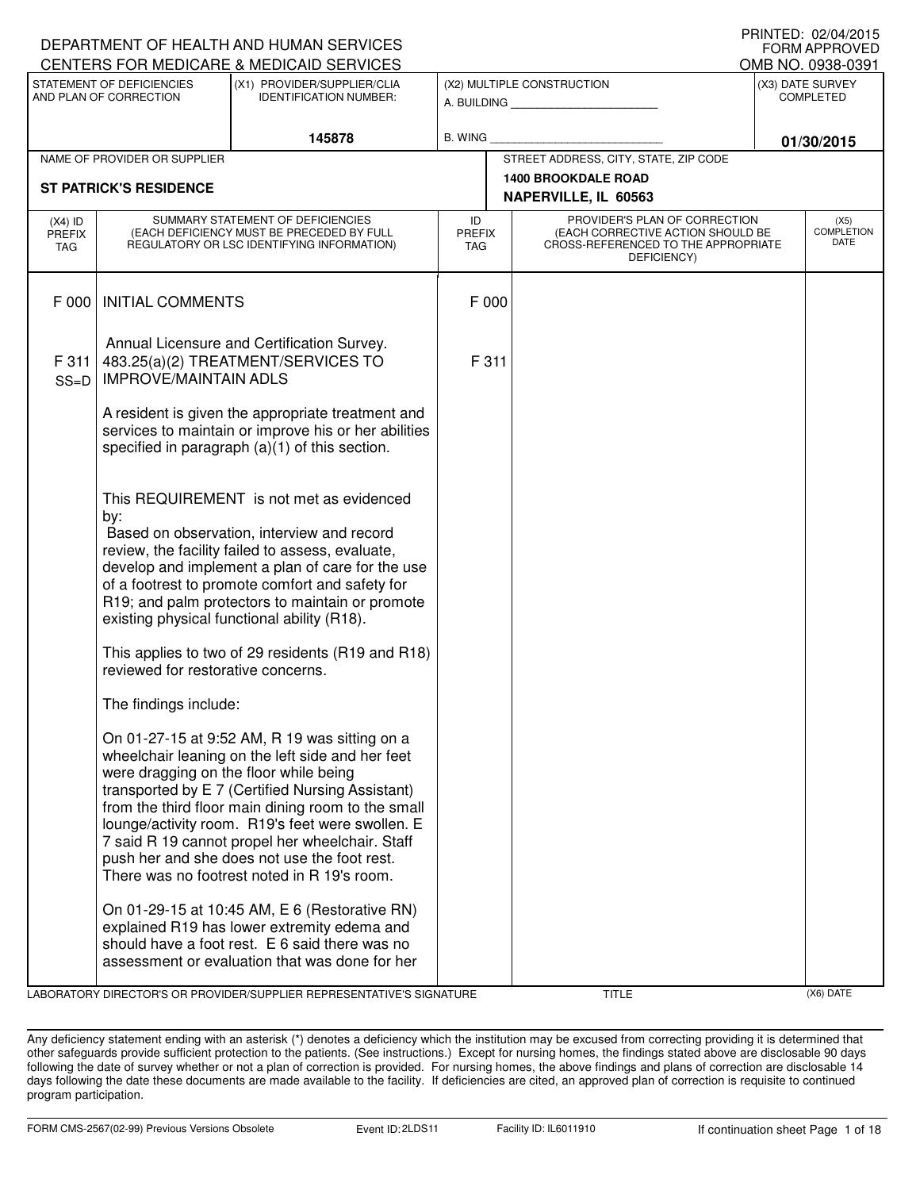|                                          |                                                     | DEPARTMENT OF HEALTH AND HUMAN SERVICES<br>CENTERS FOR MEDICARE & MEDICAID SERVICES                                                                                                                                                                                                                                                                                                                               |                                   |                                                                                                                          |            | FORM APPROVED<br>OMB NO. 0938-0391   |
|------------------------------------------|-----------------------------------------------------|-------------------------------------------------------------------------------------------------------------------------------------------------------------------------------------------------------------------------------------------------------------------------------------------------------------------------------------------------------------------------------------------------------------------|-----------------------------------|--------------------------------------------------------------------------------------------------------------------------|------------|--------------------------------------|
|                                          | STATEMENT OF DEFICIENCIES<br>AND PLAN OF CORRECTION | (X1) PROVIDER/SUPPLIER/CLIA<br><b>IDENTIFICATION NUMBER:</b>                                                                                                                                                                                                                                                                                                                                                      |                                   | (X2) MULTIPLE CONSTRUCTION                                                                                               |            | (X3) DATE SURVEY<br><b>COMPLETED</b> |
|                                          |                                                     | 145878                                                                                                                                                                                                                                                                                                                                                                                                            | <b>B. WING</b>                    |                                                                                                                          | 01/30/2015 |                                      |
|                                          | NAME OF PROVIDER OR SUPPLIER                        |                                                                                                                                                                                                                                                                                                                                                                                                                   |                                   | STREET ADDRESS, CITY, STATE, ZIP CODE                                                                                    |            |                                      |
|                                          | <b>ST PATRICK'S RESIDENCE</b>                       |                                                                                                                                                                                                                                                                                                                                                                                                                   |                                   | <b>1400 BROOKDALE ROAD</b><br>NAPERVILLE, IL 60563                                                                       |            |                                      |
| $(X4)$ ID<br><b>PREFIX</b><br><b>TAG</b> |                                                     | SUMMARY STATEMENT OF DEFICIENCIES<br>(EACH DEFICIENCY MUST BE PRECEDED BY FULL<br>REGULATORY OR LSC IDENTIFYING INFORMATION)                                                                                                                                                                                                                                                                                      | ID<br><b>PREFIX</b><br><b>TAG</b> | PROVIDER'S PLAN OF CORRECTION<br>(EACH CORRECTIVE ACTION SHOULD BE<br>CROSS-REFERENCED TO THE APPROPRIATE<br>DEFICIENCY) |            | (X5)<br><b>COMPLETION</b><br>DATE    |
| F 000                                    | <b>INITIAL COMMENTS</b>                             |                                                                                                                                                                                                                                                                                                                                                                                                                   | F 000                             |                                                                                                                          |            |                                      |
| F 311<br>$SS=D$                          | <b>IMPROVE/MAINTAIN ADLS</b>                        | Annual Licensure and Certification Survey.<br>483.25(a)(2) TREATMENT/SERVICES TO                                                                                                                                                                                                                                                                                                                                  | F 311                             |                                                                                                                          |            |                                      |
|                                          |                                                     | A resident is given the appropriate treatment and<br>services to maintain or improve his or her abilities<br>specified in paragraph $(a)(1)$ of this section.                                                                                                                                                                                                                                                     |                                   |                                                                                                                          |            |                                      |
|                                          | by:                                                 | This REQUIREMENT is not met as evidenced<br>Based on observation, interview and record<br>review, the facility failed to assess, evaluate,<br>develop and implement a plan of care for the use<br>of a footrest to promote comfort and safety for<br>R19; and palm protectors to maintain or promote<br>existing physical functional ability (R18).                                                               |                                   |                                                                                                                          |            |                                      |
|                                          | reviewed for restorative concerns.                  | This applies to two of 29 residents (R19 and R18)                                                                                                                                                                                                                                                                                                                                                                 |                                   |                                                                                                                          |            |                                      |
|                                          | The findings include:                               |                                                                                                                                                                                                                                                                                                                                                                                                                   |                                   |                                                                                                                          |            |                                      |
|                                          | were dragging on the floor while being              | On 01-27-15 at 9:52 AM, R 19 was sitting on a<br>wheelchair leaning on the left side and her feet<br>transported by E 7 (Certified Nursing Assistant)<br>from the third floor main dining room to the small<br>lounge/activity room. R19's feet were swollen. E<br>7 said R 19 cannot propel her wheelchair. Staff<br>push her and she does not use the foot rest.<br>There was no footrest noted in R 19's room. |                                   |                                                                                                                          |            |                                      |
|                                          |                                                     | On 01-29-15 at 10:45 AM, E 6 (Restorative RN)<br>explained R19 has lower extremity edema and<br>should have a foot rest. E 6 said there was no<br>assessment or evaluation that was done for her                                                                                                                                                                                                                  |                                   |                                                                                                                          |            |                                      |

LABORATORY DIRECTOR'S OR PROVIDER/SUPPLIER REPRESENTATIVE'S SIGNATURE TITLE TITLE TITLE (X6) DATE

DEPARTMENT OF HEALTH AND HUMAN SERVICES

PRINTED: 02/04/2015

Any deficiency statement ending with an asterisk (\*) denotes a deficiency which the institution may be excused from correcting providing it is determined that other safeguards provide sufficient protection to the patients. (See instructions.) Except for nursing homes, the findings stated above are disclosable 90 days following the date of survey whether or not a plan of correction is provided. For nursing homes, the above findings and plans of correction are disclosable 14 days following the date these documents are made available to the facility. If deficiencies are cited, an approved plan of correction is requisite to continued program participation.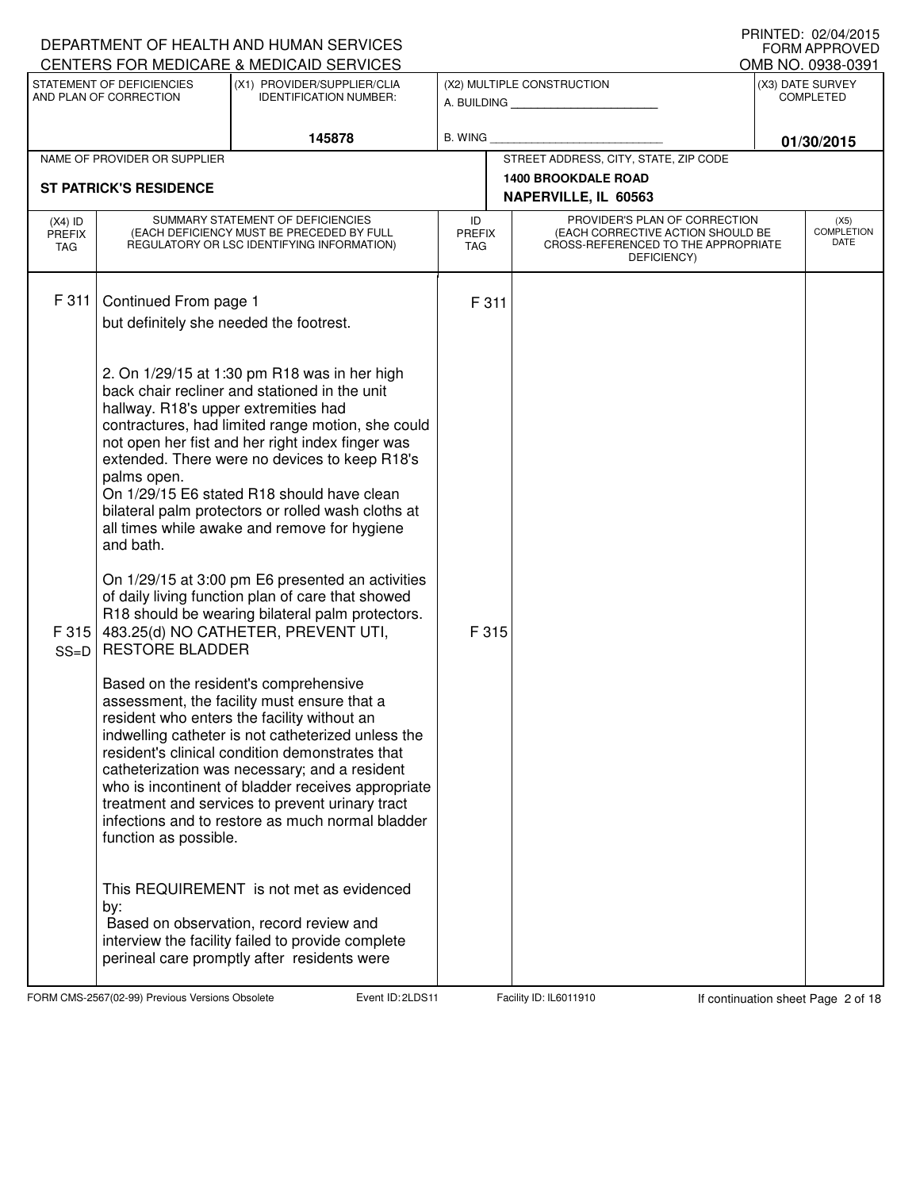|                                          |                                                                                                                     | DEPARTMENT OF HEALTH AND HUMAN SERVICES<br>CENTERS FOR MEDICARE & MEDICAID SERVICES                                                                                                                                                                                                                                                                                                                                                                                                                                                                                                                                                                                                                                                                                                                                                                                                                                                                                                                                                                                           |                            |       |                                                                                                                          | FORM APPROVED<br>OMB NO. 0938-0391   |
|------------------------------------------|---------------------------------------------------------------------------------------------------------------------|-------------------------------------------------------------------------------------------------------------------------------------------------------------------------------------------------------------------------------------------------------------------------------------------------------------------------------------------------------------------------------------------------------------------------------------------------------------------------------------------------------------------------------------------------------------------------------------------------------------------------------------------------------------------------------------------------------------------------------------------------------------------------------------------------------------------------------------------------------------------------------------------------------------------------------------------------------------------------------------------------------------------------------------------------------------------------------|----------------------------|-------|--------------------------------------------------------------------------------------------------------------------------|--------------------------------------|
|                                          | STATEMENT OF DEFICIENCIES<br>AND PLAN OF CORRECTION                                                                 | (X1) PROVIDER/SUPPLIER/CLIA<br><b>IDENTIFICATION NUMBER:</b>                                                                                                                                                                                                                                                                                                                                                                                                                                                                                                                                                                                                                                                                                                                                                                                                                                                                                                                                                                                                                  |                            |       | (X2) MULTIPLE CONSTRUCTION<br>A. BUILDING <b>A.</b> BUILDING                                                             | (X3) DATE SURVEY<br><b>COMPLETED</b> |
|                                          | <b>B. WING</b><br>145878                                                                                            |                                                                                                                                                                                                                                                                                                                                                                                                                                                                                                                                                                                                                                                                                                                                                                                                                                                                                                                                                                                                                                                                               | 01/30/2015                 |       |                                                                                                                          |                                      |
|                                          | NAME OF PROVIDER OR SUPPLIER                                                                                        |                                                                                                                                                                                                                                                                                                                                                                                                                                                                                                                                                                                                                                                                                                                                                                                                                                                                                                                                                                                                                                                                               |                            |       | STREET ADDRESS, CITY, STATE, ZIP CODE                                                                                    |                                      |
|                                          | <b>ST PATRICK'S RESIDENCE</b>                                                                                       |                                                                                                                                                                                                                                                                                                                                                                                                                                                                                                                                                                                                                                                                                                                                                                                                                                                                                                                                                                                                                                                                               |                            |       | <b>1400 BROOKDALE ROAD</b><br>NAPERVILLE, IL 60563                                                                       |                                      |
| $(X4)$ ID<br><b>PREFIX</b><br><b>TAG</b> |                                                                                                                     | SUMMARY STATEMENT OF DEFICIENCIES<br>(EACH DEFICIENCY MUST BE PRECEDED BY FULL<br>REGULATORY OR LSC IDENTIFYING INFORMATION)                                                                                                                                                                                                                                                                                                                                                                                                                                                                                                                                                                                                                                                                                                                                                                                                                                                                                                                                                  | ID<br><b>PREFIX</b><br>TAG |       | PROVIDER'S PLAN OF CORRECTION<br>(EACH CORRECTIVE ACTION SHOULD BE<br>CROSS-REFERENCED TO THE APPROPRIATE<br>DEFICIENCY) | (X5)<br><b>COMPLETION</b><br>DATE    |
| F 311                                    | Continued From page 1<br>but definitely she needed the footrest.                                                    |                                                                                                                                                                                                                                                                                                                                                                                                                                                                                                                                                                                                                                                                                                                                                                                                                                                                                                                                                                                                                                                                               |                            | F 311 |                                                                                                                          |                                      |
| F 315<br>$SS=D$                          | hallway. R18's upper extremities had<br>palms open.<br>and bath.<br><b>RESTORE BLADDER</b><br>function as possible. | 2. On 1/29/15 at 1:30 pm R18 was in her high<br>back chair recliner and stationed in the unit<br>contractures, had limited range motion, she could<br>not open her fist and her right index finger was<br>extended. There were no devices to keep R18's<br>On 1/29/15 E6 stated R18 should have clean<br>bilateral palm protectors or rolled wash cloths at<br>all times while awake and remove for hygiene<br>On 1/29/15 at 3:00 pm E6 presented an activities<br>of daily living function plan of care that showed<br>R18 should be wearing bilateral palm protectors.<br>483.25(d) NO CATHETER, PREVENT UTI,<br>Based on the resident's comprehensive<br>assessment, the facility must ensure that a<br>resident who enters the facility without an<br>indwelling catheter is not catheterized unless the<br>resident's clinical condition demonstrates that<br>catheterization was necessary; and a resident<br>who is incontinent of bladder receives appropriate<br>treatment and services to prevent urinary tract<br>infections and to restore as much normal bladder |                            | F 315 |                                                                                                                          |                                      |
|                                          | by:                                                                                                                 | This REQUIREMENT is not met as evidenced<br>Based on observation, record review and<br>interview the facility failed to provide complete<br>perineal care promptly after residents were                                                                                                                                                                                                                                                                                                                                                                                                                                                                                                                                                                                                                                                                                                                                                                                                                                                                                       |                            |       |                                                                                                                          |                                      |

FORM CMS-2567(02-99) Previous Versions Obsolete **2** Event ID: 2LDS 11 Facility ID: IL6011910 If continuation sheet Page 2 of 18

DEPARTMENT OF HEALTH AND HUMAN SERVICES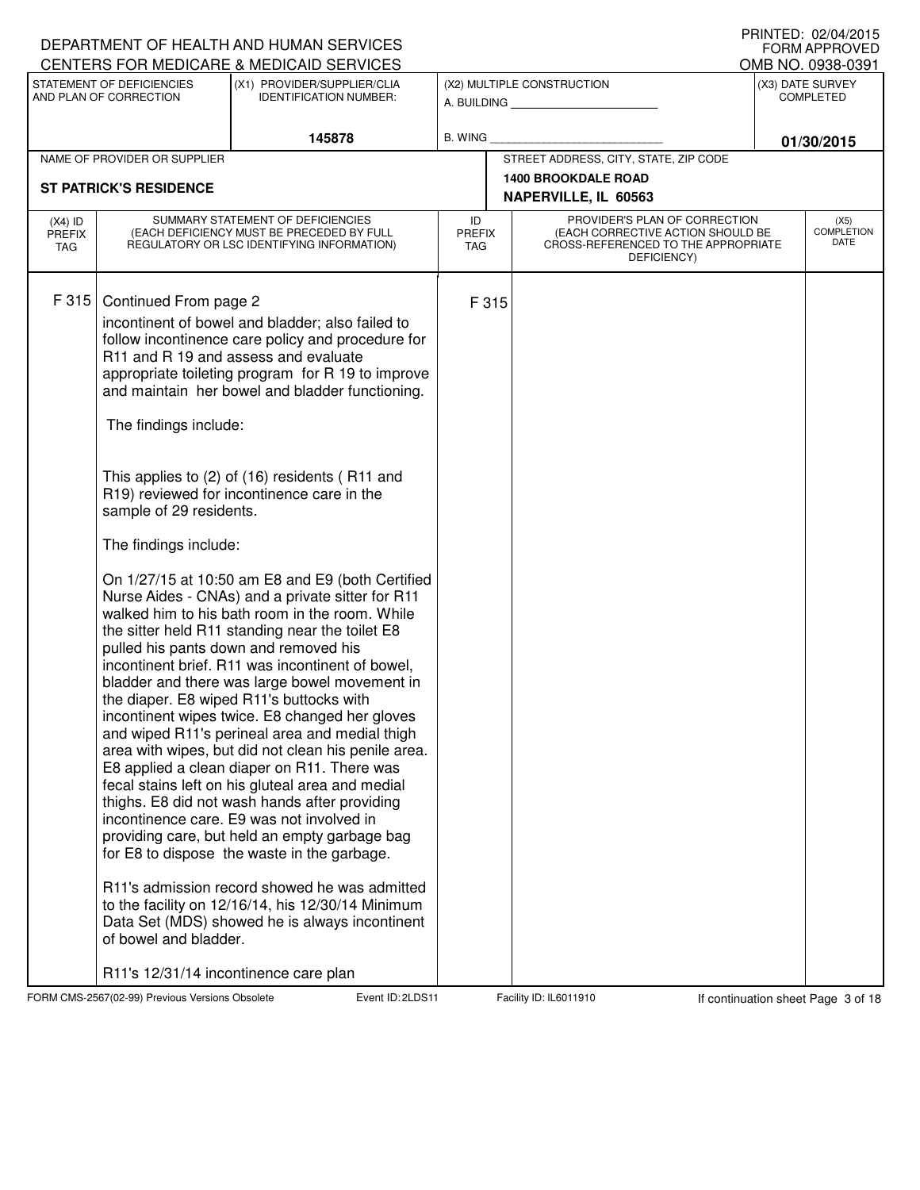|                                   |                                                                                                                             | DEPARTMENT OF HEALTH AND HUMAN SERVICES                                                                                                                                                                                                                                                                                                                                                                                                                                                                                                                                                                                                                                                                                                                                                                                                                                                                                                                                                                                                                                                                                                                                                                                                                                                                                                                                          |                                   |                                                                                                                          | <b>FORM APPROVED</b>                  |
|-----------------------------------|-----------------------------------------------------------------------------------------------------------------------------|----------------------------------------------------------------------------------------------------------------------------------------------------------------------------------------------------------------------------------------------------------------------------------------------------------------------------------------------------------------------------------------------------------------------------------------------------------------------------------------------------------------------------------------------------------------------------------------------------------------------------------------------------------------------------------------------------------------------------------------------------------------------------------------------------------------------------------------------------------------------------------------------------------------------------------------------------------------------------------------------------------------------------------------------------------------------------------------------------------------------------------------------------------------------------------------------------------------------------------------------------------------------------------------------------------------------------------------------------------------------------------|-----------------------------------|--------------------------------------------------------------------------------------------------------------------------|---------------------------------------|
|                                   | STATEMENT OF DEFICIENCIES                                                                                                   | CENTERS FOR MEDICARE & MEDICAID SERVICES<br>(X1) PROVIDER/SUPPLIER/CLIA                                                                                                                                                                                                                                                                                                                                                                                                                                                                                                                                                                                                                                                                                                                                                                                                                                                                                                                                                                                                                                                                                                                                                                                                                                                                                                          |                                   | (X2) MULTIPLE CONSTRUCTION                                                                                               | OMB NO. 0938-0391<br>(X3) DATE SURVEY |
|                                   | AND PLAN OF CORRECTION                                                                                                      | <b>IDENTIFICATION NUMBER:</b>                                                                                                                                                                                                                                                                                                                                                                                                                                                                                                                                                                                                                                                                                                                                                                                                                                                                                                                                                                                                                                                                                                                                                                                                                                                                                                                                                    |                                   | A. BUILDING                                                                                                              | <b>COMPLETED</b>                      |
|                                   |                                                                                                                             | 145878                                                                                                                                                                                                                                                                                                                                                                                                                                                                                                                                                                                                                                                                                                                                                                                                                                                                                                                                                                                                                                                                                                                                                                                                                                                                                                                                                                           | B. WING                           |                                                                                                                          | 01/30/2015                            |
|                                   | NAME OF PROVIDER OR SUPPLIER                                                                                                |                                                                                                                                                                                                                                                                                                                                                                                                                                                                                                                                                                                                                                                                                                                                                                                                                                                                                                                                                                                                                                                                                                                                                                                                                                                                                                                                                                                  |                                   | STREET ADDRESS, CITY, STATE, ZIP CODE                                                                                    |                                       |
|                                   | <b>ST PATRICK'S RESIDENCE</b>                                                                                               |                                                                                                                                                                                                                                                                                                                                                                                                                                                                                                                                                                                                                                                                                                                                                                                                                                                                                                                                                                                                                                                                                                                                                                                                                                                                                                                                                                                  |                                   | <b>1400 BROOKDALE ROAD</b><br>NAPERVILLE, IL 60563                                                                       |                                       |
| $(X4)$ ID<br><b>PREFIX</b><br>TAG |                                                                                                                             | SUMMARY STATEMENT OF DEFICIENCIES<br>(EACH DEFICIENCY MUST BE PRECEDED BY FULL<br>REGULATORY OR LSC IDENTIFYING INFORMATION)                                                                                                                                                                                                                                                                                                                                                                                                                                                                                                                                                                                                                                                                                                                                                                                                                                                                                                                                                                                                                                                                                                                                                                                                                                                     | ID<br><b>PREFIX</b><br><b>TAG</b> | PROVIDER'S PLAN OF CORRECTION<br>(EACH CORRECTIVE ACTION SHOULD BE<br>CROSS-REFERENCED TO THE APPROPRIATE<br>DEFICIENCY) | (X5)<br><b>COMPLETION</b><br>DATE     |
| F 315                             | Continued From page 2<br>The findings include:<br>sample of 29 residents.<br>The findings include:<br>of bowel and bladder. | incontinent of bowel and bladder; also failed to<br>follow incontinence care policy and procedure for<br>R11 and R 19 and assess and evaluate<br>appropriate toileting program for R 19 to improve<br>and maintain her bowel and bladder functioning.<br>This applies to (2) of (16) residents (R11 and<br>R19) reviewed for incontinence care in the<br>On 1/27/15 at 10:50 am E8 and E9 (both Certified<br>Nurse Aides - CNAs) and a private sitter for R11<br>walked him to his bath room in the room. While<br>the sitter held R11 standing near the toilet E8<br>pulled his pants down and removed his<br>incontinent brief. R11 was incontinent of bowel,<br>bladder and there was large bowel movement in<br>the diaper. E8 wiped R11's buttocks with<br>incontinent wipes twice. E8 changed her gloves<br>and wiped R11's perineal area and medial thigh<br>area with wipes, but did not clean his penile area.<br>E8 applied a clean diaper on R11. There was<br>fecal stains left on his gluteal area and medial<br>thighs. E8 did not wash hands after providing<br>incontinence care. E9 was not involved in<br>providing care, but held an empty garbage bag<br>for E8 to dispose the waste in the garbage.<br>R11's admission record showed he was admitted<br>to the facility on 12/16/14, his 12/30/14 Minimum<br>Data Set (MDS) showed he is always incontinent | F 315                             |                                                                                                                          |                                       |
|                                   | R11's 12/31/14 incontinence care plan                                                                                       |                                                                                                                                                                                                                                                                                                                                                                                                                                                                                                                                                                                                                                                                                                                                                                                                                                                                                                                                                                                                                                                                                                                                                                                                                                                                                                                                                                                  |                                   |                                                                                                                          |                                       |

FORM CMS-2567(02-99) Previous Versions Obsolete **2.2LDS Event ID: 2LDS11** Facility ID: IL6011910 If continuation sheet Page 3 of 18

DEPARTMENT OF HEALTH AND HUMAN SERVICES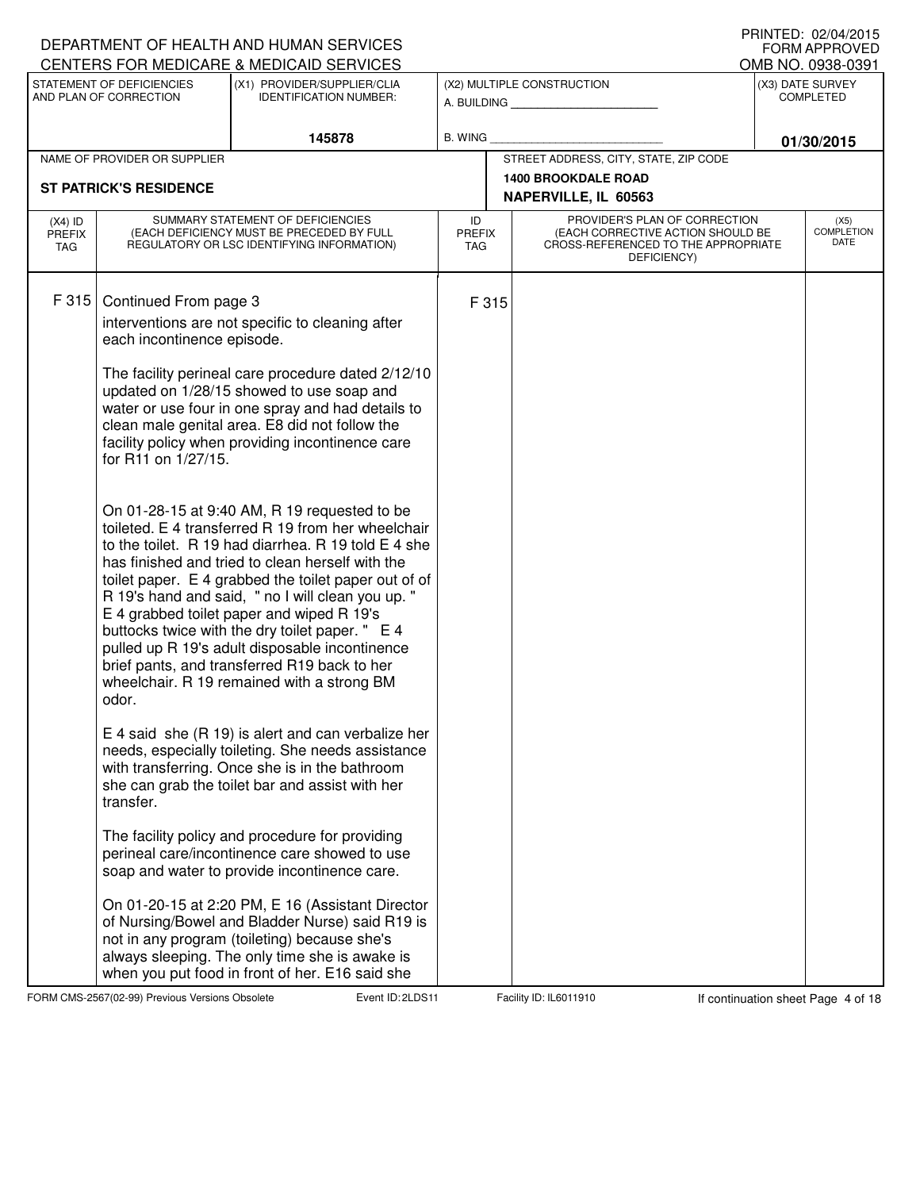|                                          |                                                                                                  | DEPARTMENT OF HEALTH AND HUMAN SERVICES<br>CENTERS FOR MEDICARE & MEDICAID SERVICES                                                                                                                                                                                                                                                                                                                                                                                                                                                                                                                                                                                                                                                                                                                                                                                                                                                                                                                                                                                                                                                                                                                                                                               |                                   |                                                                                                                          |  | IIIIIIILD. VŁ/V≒/ŁVIJ<br><b>FORM APPROVED</b><br>OMB NO. 0938-0391 |
|------------------------------------------|--------------------------------------------------------------------------------------------------|-------------------------------------------------------------------------------------------------------------------------------------------------------------------------------------------------------------------------------------------------------------------------------------------------------------------------------------------------------------------------------------------------------------------------------------------------------------------------------------------------------------------------------------------------------------------------------------------------------------------------------------------------------------------------------------------------------------------------------------------------------------------------------------------------------------------------------------------------------------------------------------------------------------------------------------------------------------------------------------------------------------------------------------------------------------------------------------------------------------------------------------------------------------------------------------------------------------------------------------------------------------------|-----------------------------------|--------------------------------------------------------------------------------------------------------------------------|--|--------------------------------------------------------------------|
|                                          | STATEMENT OF DEFICIENCIES<br>AND PLAN OF CORRECTION                                              | (X1) PROVIDER/SUPPLIER/CLIA<br><b>IDENTIFICATION NUMBER:</b>                                                                                                                                                                                                                                                                                                                                                                                                                                                                                                                                                                                                                                                                                                                                                                                                                                                                                                                                                                                                                                                                                                                                                                                                      |                                   | (X2) MULTIPLE CONSTRUCTION<br>A. BUILDING                                                                                |  | (X3) DATE SURVEY<br><b>COMPLETED</b>                               |
|                                          |                                                                                                  | 145878                                                                                                                                                                                                                                                                                                                                                                                                                                                                                                                                                                                                                                                                                                                                                                                                                                                                                                                                                                                                                                                                                                                                                                                                                                                            | B. WING                           |                                                                                                                          |  | 01/30/2015                                                         |
|                                          | NAME OF PROVIDER OR SUPPLIER                                                                     |                                                                                                                                                                                                                                                                                                                                                                                                                                                                                                                                                                                                                                                                                                                                                                                                                                                                                                                                                                                                                                                                                                                                                                                                                                                                   |                                   | STREET ADDRESS, CITY, STATE, ZIP CODE                                                                                    |  |                                                                    |
|                                          | <b>ST PATRICK'S RESIDENCE</b>                                                                    |                                                                                                                                                                                                                                                                                                                                                                                                                                                                                                                                                                                                                                                                                                                                                                                                                                                                                                                                                                                                                                                                                                                                                                                                                                                                   |                                   | <b>1400 BROOKDALE ROAD</b><br>NAPERVILLE, IL 60563                                                                       |  |                                                                    |
| $(X4)$ ID<br><b>PREFIX</b><br><b>TAG</b> |                                                                                                  | SUMMARY STATEMENT OF DEFICIENCIES<br>(EACH DEFICIENCY MUST BE PRECEDED BY FULL<br>REGULATORY OR LSC IDENTIFYING INFORMATION)                                                                                                                                                                                                                                                                                                                                                                                                                                                                                                                                                                                                                                                                                                                                                                                                                                                                                                                                                                                                                                                                                                                                      | ID<br><b>PREFIX</b><br><b>TAG</b> | PROVIDER'S PLAN OF CORRECTION<br>(EACH CORRECTIVE ACTION SHOULD BE<br>CROSS-REFERENCED TO THE APPROPRIATE<br>DEFICIENCY) |  | (X5)<br><b>COMPLETION</b><br>DATE                                  |
| F 315                                    | Continued From page 3<br>each incontinence episode.<br>for R11 on 1/27/15.<br>odor.<br>transfer. | interventions are not specific to cleaning after<br>The facility perineal care procedure dated 2/12/10<br>updated on 1/28/15 showed to use soap and<br>water or use four in one spray and had details to<br>clean male genital area. E8 did not follow the<br>facility policy when providing incontinence care<br>On 01-28-15 at 9:40 AM, R 19 requested to be<br>toileted. E 4 transferred R 19 from her wheelchair<br>to the toilet. R 19 had diarrhea. R 19 told E 4 she<br>has finished and tried to clean herself with the<br>toilet paper. E 4 grabbed the toilet paper out of of<br>R 19's hand and said, " no I will clean you up."<br>E 4 grabbed toilet paper and wiped R 19's<br>buttocks twice with the dry toilet paper. " E 4<br>pulled up R 19's adult disposable incontinence<br>brief pants, and transferred R19 back to her<br>wheelchair. R 19 remained with a strong BM<br>$E$ 4 said she (R 19) is alert and can verbalize her<br>needs, especially toileting. She needs assistance<br>with transferring. Once she is in the bathroom<br>she can grab the toilet bar and assist with her<br>The facility policy and procedure for providing<br>perineal care/incontinence care showed to use<br>soap and water to provide incontinence care. | F 315                             |                                                                                                                          |  |                                                                    |
|                                          |                                                                                                  | On 01-20-15 at 2:20 PM, E 16 (Assistant Director<br>of Nursing/Bowel and Bladder Nurse) said R19 is<br>not in any program (toileting) because she's<br>always sleeping. The only time she is awake is<br>when you put food in front of her. E16 said she                                                                                                                                                                                                                                                                                                                                                                                                                                                                                                                                                                                                                                                                                                                                                                                                                                                                                                                                                                                                          |                                   |                                                                                                                          |  |                                                                    |

FORM CMS-2567(02-99) Previous Versions Obsolete **2.2LDS Event ID: 2LDS11** Facility ID: IL6011910 If continuation sheet Page 4 of 18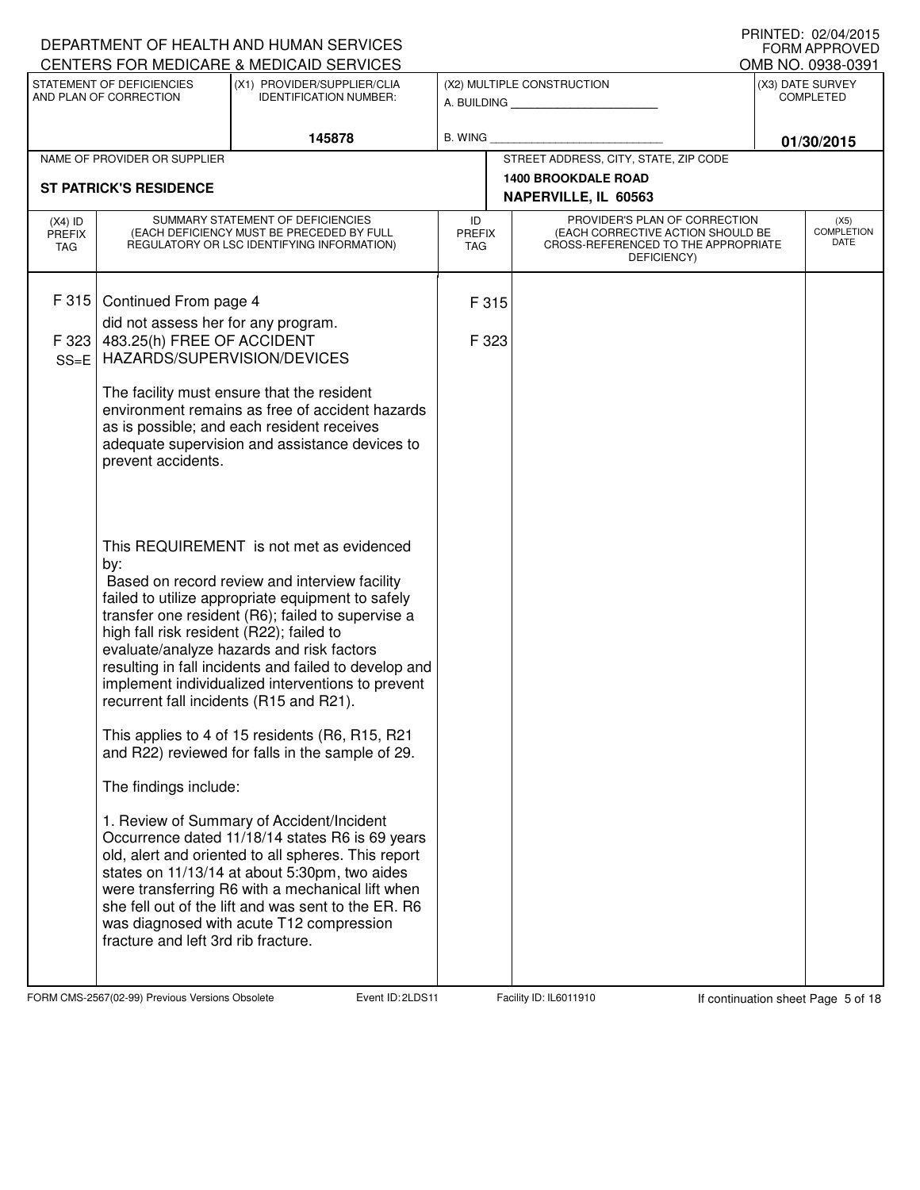|                                          |                                                                                                                                                                                                                     | DEPARTMENT OF HEALTH AND HUMAN SERVICES                                                                                                                                                                                                                                                                                                                        |                                   |  |                                                                                                                          | IIUINILLU. UZ/U≒I/ZUIJ<br><b>FORM APPROVED</b>            |
|------------------------------------------|---------------------------------------------------------------------------------------------------------------------------------------------------------------------------------------------------------------------|----------------------------------------------------------------------------------------------------------------------------------------------------------------------------------------------------------------------------------------------------------------------------------------------------------------------------------------------------------------|-----------------------------------|--|--------------------------------------------------------------------------------------------------------------------------|-----------------------------------------------------------|
|                                          | STATEMENT OF DEFICIENCIES<br>AND PLAN OF CORRECTION                                                                                                                                                                 | CENTERS FOR MEDICARE & MEDICAID SERVICES<br>(X1) PROVIDER/SUPPLIER/CLIA<br><b>IDENTIFICATION NUMBER:</b>                                                                                                                                                                                                                                                       |                                   |  | (X2) MULTIPLE CONSTRUCTION<br>A. BUILDING <b>A.</b> BUILDING                                                             | OMB NO. 0938-0391<br>(X3) DATE SURVEY<br><b>COMPLETED</b> |
|                                          |                                                                                                                                                                                                                     | 145878                                                                                                                                                                                                                                                                                                                                                         | <b>B. WING</b>                    |  |                                                                                                                          |                                                           |
|                                          | NAME OF PROVIDER OR SUPPLIER                                                                                                                                                                                        |                                                                                                                                                                                                                                                                                                                                                                |                                   |  | STREET ADDRESS, CITY, STATE, ZIP CODE                                                                                    | 01/30/2015                                                |
|                                          | <b>ST PATRICK'S RESIDENCE</b>                                                                                                                                                                                       |                                                                                                                                                                                                                                                                                                                                                                |                                   |  | <b>1400 BROOKDALE ROAD</b>                                                                                               |                                                           |
|                                          |                                                                                                                                                                                                                     |                                                                                                                                                                                                                                                                                                                                                                |                                   |  | NAPERVILLE, IL 60563                                                                                                     |                                                           |
| $(X4)$ ID<br><b>PREFIX</b><br><b>TAG</b> |                                                                                                                                                                                                                     | SUMMARY STATEMENT OF DEFICIENCIES<br>(EACH DEFICIENCY MUST BE PRECEDED BY FULL<br>REGULATORY OR LSC IDENTIFYING INFORMATION)                                                                                                                                                                                                                                   | ID<br><b>PREFIX</b><br><b>TAG</b> |  | PROVIDER'S PLAN OF CORRECTION<br>(EACH CORRECTIVE ACTION SHOULD BE<br>CROSS-REFERENCED TO THE APPROPRIATE<br>DEFICIENCY) | (X5)<br><b>COMPLETION</b><br>DATE                         |
| F 315                                    | Continued From page 4                                                                                                                                                                                               |                                                                                                                                                                                                                                                                                                                                                                | F 315                             |  |                                                                                                                          |                                                           |
|                                          | did not assess her for any program.                                                                                                                                                                                 |                                                                                                                                                                                                                                                                                                                                                                |                                   |  |                                                                                                                          |                                                           |
| F 323<br>$SS = E$                        | 483.25(h) FREE OF ACCIDENT<br>HAZARDS/SUPERVISION/DEVICES                                                                                                                                                           |                                                                                                                                                                                                                                                                                                                                                                | F 323                             |  |                                                                                                                          |                                                           |
|                                          | The facility must ensure that the resident<br>environment remains as free of accident hazards<br>as is possible; and each resident receives<br>adequate supervision and assistance devices to<br>prevent accidents. |                                                                                                                                                                                                                                                                                                                                                                |                                   |  |                                                                                                                          |                                                           |
|                                          | by:<br>high fall risk resident (R22); failed to<br>recurrent fall incidents (R15 and R21).                                                                                                                          | This REQUIREMENT is not met as evidenced<br>Based on record review and interview facility<br>failed to utilize appropriate equipment to safely<br>transfer one resident (R6); failed to supervise a<br>evaluate/analyze hazards and risk factors<br>resulting in fall incidents and failed to develop and<br>implement individualized interventions to prevent |                                   |  |                                                                                                                          |                                                           |
|                                          |                                                                                                                                                                                                                     | This applies to 4 of 15 residents (R6, R15, R21<br>and R22) reviewed for falls in the sample of 29.                                                                                                                                                                                                                                                            |                                   |  |                                                                                                                          |                                                           |
|                                          | The findings include:                                                                                                                                                                                               |                                                                                                                                                                                                                                                                                                                                                                |                                   |  |                                                                                                                          |                                                           |
|                                          | fracture and left 3rd rib fracture.                                                                                                                                                                                 | 1. Review of Summary of Accident/Incident<br>Occurrence dated 11/18/14 states R6 is 69 years<br>old, alert and oriented to all spheres. This report<br>states on 11/13/14 at about 5:30pm, two aides<br>were transferring R6 with a mechanical lift when<br>she fell out of the lift and was sent to the ER. R6<br>was diagnosed with acute T12 compression    |                                   |  |                                                                                                                          |                                                           |

FORM CMS-2567(02-99) Previous Versions Obsolete 2010 Event ID: 2LDS11 Facility ID: IL6011910 If continuation sheet Page 5 of 18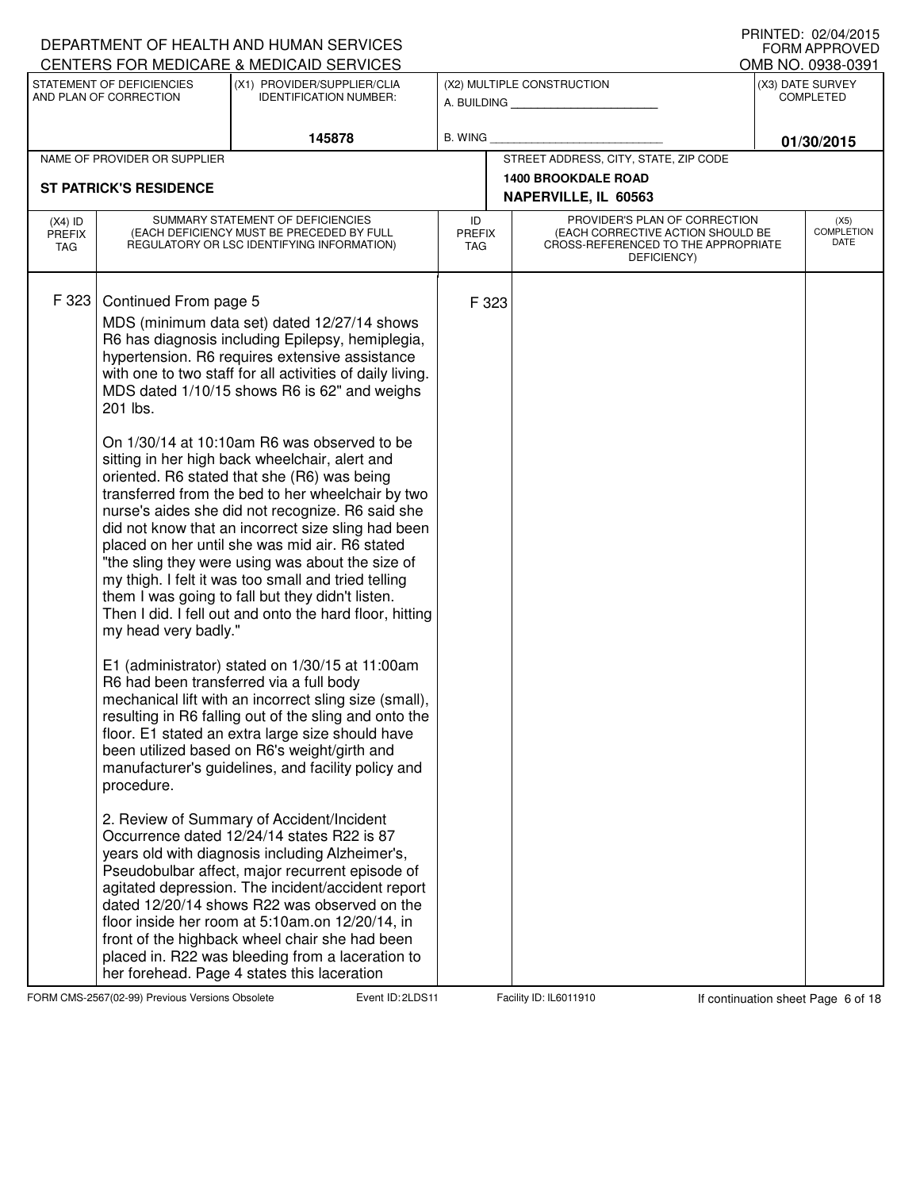|                                          |                                                                         | DEPARTMENT OF HEALTH AND HUMAN SERVICES<br>CENTERS FOR MEDICARE & MEDICAID SERVICES                                                                                                                                                                                                                                                                                                                                                                                                                                                                                                                                                                                                                                                                                                                                                                                                                                                                                                                                                                                                                                                                                                                                                                                                                                                                                                                                                                                                                                                                                                                                                                                                                                                               |                                   |       |                                                                                                                          |  | IIIIIIILD. UZ/U≒/ZUIJ<br>FORM APPROVED |
|------------------------------------------|-------------------------------------------------------------------------|---------------------------------------------------------------------------------------------------------------------------------------------------------------------------------------------------------------------------------------------------------------------------------------------------------------------------------------------------------------------------------------------------------------------------------------------------------------------------------------------------------------------------------------------------------------------------------------------------------------------------------------------------------------------------------------------------------------------------------------------------------------------------------------------------------------------------------------------------------------------------------------------------------------------------------------------------------------------------------------------------------------------------------------------------------------------------------------------------------------------------------------------------------------------------------------------------------------------------------------------------------------------------------------------------------------------------------------------------------------------------------------------------------------------------------------------------------------------------------------------------------------------------------------------------------------------------------------------------------------------------------------------------------------------------------------------------------------------------------------------------|-----------------------------------|-------|--------------------------------------------------------------------------------------------------------------------------|--|----------------------------------------|
|                                          | STATEMENT OF DEFICIENCIES                                               | (X1) PROVIDER/SUPPLIER/CLIA                                                                                                                                                                                                                                                                                                                                                                                                                                                                                                                                                                                                                                                                                                                                                                                                                                                                                                                                                                                                                                                                                                                                                                                                                                                                                                                                                                                                                                                                                                                                                                                                                                                                                                                       |                                   |       | (X2) MULTIPLE CONSTRUCTION                                                                                               |  | OMB NO. 0938-0391<br>(X3) DATE SURVEY  |
|                                          | AND PLAN OF CORRECTION                                                  | <b>IDENTIFICATION NUMBER:</b>                                                                                                                                                                                                                                                                                                                                                                                                                                                                                                                                                                                                                                                                                                                                                                                                                                                                                                                                                                                                                                                                                                                                                                                                                                                                                                                                                                                                                                                                                                                                                                                                                                                                                                                     |                                   |       | A. BUILDING                                                                                                              |  | <b>COMPLETED</b>                       |
|                                          |                                                                         | 145878                                                                                                                                                                                                                                                                                                                                                                                                                                                                                                                                                                                                                                                                                                                                                                                                                                                                                                                                                                                                                                                                                                                                                                                                                                                                                                                                                                                                                                                                                                                                                                                                                                                                                                                                            | <b>B. WING</b>                    |       |                                                                                                                          |  | 01/30/2015                             |
|                                          | NAME OF PROVIDER OR SUPPLIER                                            |                                                                                                                                                                                                                                                                                                                                                                                                                                                                                                                                                                                                                                                                                                                                                                                                                                                                                                                                                                                                                                                                                                                                                                                                                                                                                                                                                                                                                                                                                                                                                                                                                                                                                                                                                   |                                   |       | STREET ADDRESS, CITY, STATE, ZIP CODE                                                                                    |  |                                        |
|                                          | <b>ST PATRICK'S RESIDENCE</b>                                           |                                                                                                                                                                                                                                                                                                                                                                                                                                                                                                                                                                                                                                                                                                                                                                                                                                                                                                                                                                                                                                                                                                                                                                                                                                                                                                                                                                                                                                                                                                                                                                                                                                                                                                                                                   |                                   |       | <b>1400 BROOKDALE ROAD</b>                                                                                               |  |                                        |
|                                          |                                                                         |                                                                                                                                                                                                                                                                                                                                                                                                                                                                                                                                                                                                                                                                                                                                                                                                                                                                                                                                                                                                                                                                                                                                                                                                                                                                                                                                                                                                                                                                                                                                                                                                                                                                                                                                                   | NAPERVILLE, IL 60563              |       |                                                                                                                          |  |                                        |
| $(X4)$ ID<br><b>PREFIX</b><br><b>TAG</b> |                                                                         | SUMMARY STATEMENT OF DEFICIENCIES<br>(EACH DEFICIENCY MUST BE PRECEDED BY FULL<br>REGULATORY OR LSC IDENTIFYING INFORMATION)                                                                                                                                                                                                                                                                                                                                                                                                                                                                                                                                                                                                                                                                                                                                                                                                                                                                                                                                                                                                                                                                                                                                                                                                                                                                                                                                                                                                                                                                                                                                                                                                                      | ID<br><b>PREFIX</b><br><b>TAG</b> |       | PROVIDER'S PLAN OF CORRECTION<br>(EACH CORRECTIVE ACTION SHOULD BE<br>CROSS-REFERENCED TO THE APPROPRIATE<br>DEFICIENCY) |  | (X5)<br><b>COMPLETION</b><br>DATE      |
| F 323                                    | Continued From page 5<br>201 lbs.<br>my head very badly."<br>procedure. | MDS (minimum data set) dated 12/27/14 shows<br>R6 has diagnosis including Epilepsy, hemiplegia,<br>hypertension. R6 requires extensive assistance<br>with one to two staff for all activities of daily living.<br>MDS dated 1/10/15 shows R6 is 62" and weighs<br>On 1/30/14 at 10:10am R6 was observed to be<br>sitting in her high back wheelchair, alert and<br>oriented. R6 stated that she (R6) was being<br>transferred from the bed to her wheelchair by two<br>nurse's aides she did not recognize. R6 said she<br>did not know that an incorrect size sling had been<br>placed on her until she was mid air. R6 stated<br>"the sling they were using was about the size of<br>my thigh. I felt it was too small and tried telling<br>them I was going to fall but they didn't listen.<br>Then I did. I fell out and onto the hard floor, hitting<br>E1 (administrator) stated on 1/30/15 at 11:00am<br>R6 had been transferred via a full body<br>mechanical lift with an incorrect sling size (small),<br>resulting in R6 falling out of the sling and onto the<br>floor. E1 stated an extra large size should have<br>been utilized based on R6's weight/girth and<br>manufacturer's guidelines, and facility policy and<br>2. Review of Summary of Accident/Incident<br>Occurrence dated 12/24/14 states R22 is 87<br>years old with diagnosis including Alzheimer's,<br>Pseudobulbar affect, major recurrent episode of<br>agitated depression. The incident/accident report<br>dated 12/20/14 shows R22 was observed on the<br>floor inside her room at 5:10am.on 12/20/14, in<br>front of the highback wheel chair she had been<br>placed in. R22 was bleeding from a laceration to<br>her forehead. Page 4 states this laceration |                                   | F 323 |                                                                                                                          |  |                                        |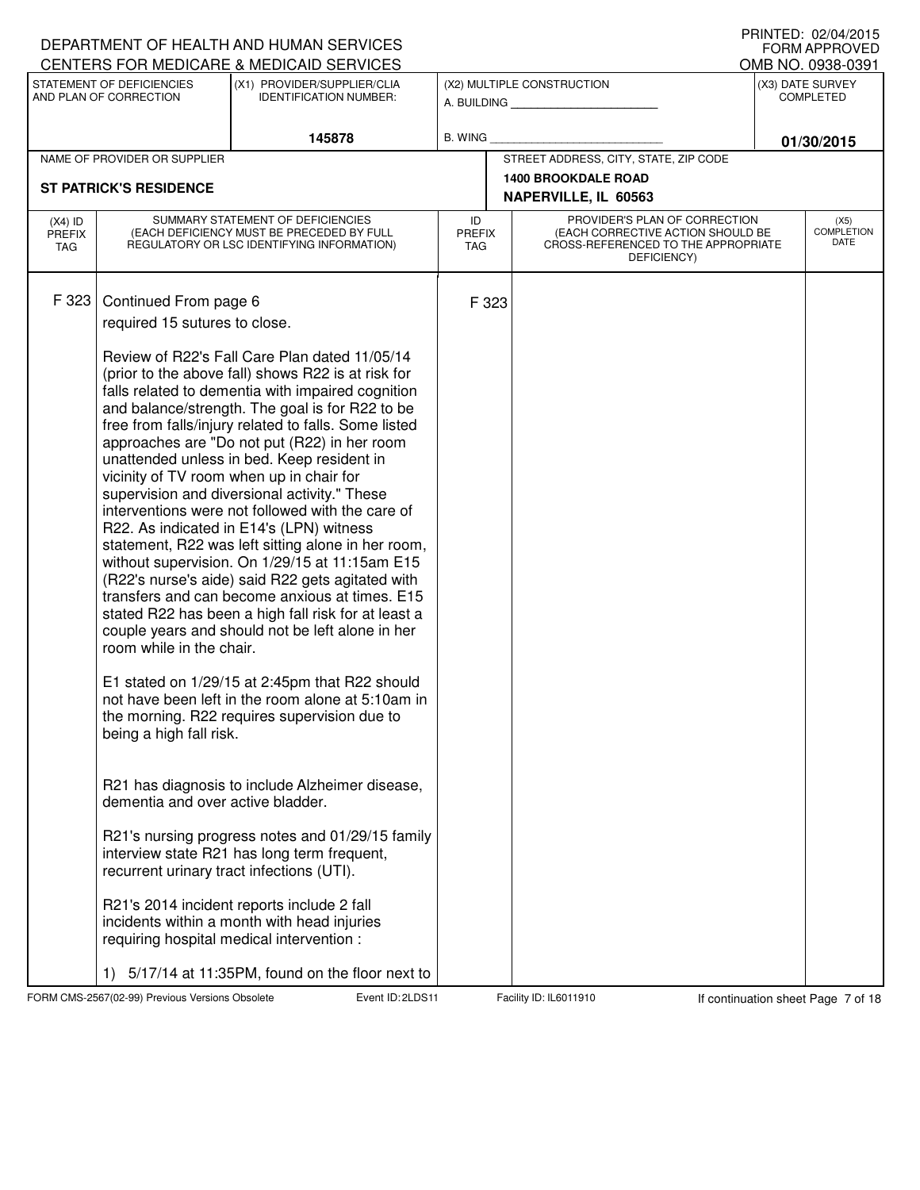|                                   |                                                     | DEPARTMENT OF HEALTH AND HUMAN SERVICES<br>CENTERS FOR MEDICARE & MEDICAID SERVICES                                                                                                                                                                                                                                                                                                                                                                                                                                                                                                                                                                                                                                                                                                                                                                                                    |                                   |                                                                                                                          | IIIIIIILD. VŁ/V≒/ŁVIJ<br><b>FORM APPROVED</b>             |
|-----------------------------------|-----------------------------------------------------|----------------------------------------------------------------------------------------------------------------------------------------------------------------------------------------------------------------------------------------------------------------------------------------------------------------------------------------------------------------------------------------------------------------------------------------------------------------------------------------------------------------------------------------------------------------------------------------------------------------------------------------------------------------------------------------------------------------------------------------------------------------------------------------------------------------------------------------------------------------------------------------|-----------------------------------|--------------------------------------------------------------------------------------------------------------------------|-----------------------------------------------------------|
|                                   | STATEMENT OF DEFICIENCIES<br>AND PLAN OF CORRECTION | (X1) PROVIDER/SUPPLIER/CLIA<br><b>IDENTIFICATION NUMBER:</b>                                                                                                                                                                                                                                                                                                                                                                                                                                                                                                                                                                                                                                                                                                                                                                                                                           |                                   | (X2) MULTIPLE CONSTRUCTION                                                                                               | OMB NO. 0938-0391<br>(X3) DATE SURVEY<br><b>COMPLETED</b> |
|                                   |                                                     |                                                                                                                                                                                                                                                                                                                                                                                                                                                                                                                                                                                                                                                                                                                                                                                                                                                                                        |                                   | A. BUILDING                                                                                                              |                                                           |
|                                   |                                                     | 145878                                                                                                                                                                                                                                                                                                                                                                                                                                                                                                                                                                                                                                                                                                                                                                                                                                                                                 | B. WING                           |                                                                                                                          | 01/30/2015                                                |
|                                   | NAME OF PROVIDER OR SUPPLIER                        |                                                                                                                                                                                                                                                                                                                                                                                                                                                                                                                                                                                                                                                                                                                                                                                                                                                                                        |                                   | STREET ADDRESS, CITY, STATE, ZIP CODE                                                                                    |                                                           |
|                                   | <b>ST PATRICK'S RESIDENCE</b>                       |                                                                                                                                                                                                                                                                                                                                                                                                                                                                                                                                                                                                                                                                                                                                                                                                                                                                                        |                                   | <b>1400 BROOKDALE ROAD</b><br>NAPERVILLE, IL 60563                                                                       |                                                           |
|                                   |                                                     |                                                                                                                                                                                                                                                                                                                                                                                                                                                                                                                                                                                                                                                                                                                                                                                                                                                                                        |                                   |                                                                                                                          |                                                           |
| $(X4)$ ID<br><b>PREFIX</b><br>TAG |                                                     | SUMMARY STATEMENT OF DEFICIENCIES<br>(EACH DEFICIENCY MUST BE PRECEDED BY FULL<br>REGULATORY OR LSC IDENTIFYING INFORMATION)                                                                                                                                                                                                                                                                                                                                                                                                                                                                                                                                                                                                                                                                                                                                                           | ID<br><b>PREFIX</b><br><b>TAG</b> | PROVIDER'S PLAN OF CORRECTION<br>(EACH CORRECTIVE ACTION SHOULD BE<br>CROSS-REFERENCED TO THE APPROPRIATE<br>DEFICIENCY) | (X5)<br><b>COMPLETION</b><br>DATE                         |
| F 323                             | Continued From page 6                               |                                                                                                                                                                                                                                                                                                                                                                                                                                                                                                                                                                                                                                                                                                                                                                                                                                                                                        | F 323                             |                                                                                                                          |                                                           |
|                                   | required 15 sutures to close.                       |                                                                                                                                                                                                                                                                                                                                                                                                                                                                                                                                                                                                                                                                                                                                                                                                                                                                                        |                                   |                                                                                                                          |                                                           |
|                                   | room while in the chair.                            | Review of R22's Fall Care Plan dated 11/05/14<br>(prior to the above fall) shows R22 is at risk for<br>falls related to dementia with impaired cognition<br>and balance/strength. The goal is for R22 to be<br>free from falls/injury related to falls. Some listed<br>approaches are "Do not put (R22) in her room<br>unattended unless in bed. Keep resident in<br>vicinity of TV room when up in chair for<br>supervision and diversional activity." These<br>interventions were not followed with the care of<br>R22. As indicated in E14's (LPN) witness<br>statement, R22 was left sitting alone in her room,<br>without supervision. On 1/29/15 at 11:15am E15<br>(R22's nurse's aide) said R22 gets agitated with<br>transfers and can become anxious at times. E15<br>stated R22 has been a high fall risk for at least a<br>couple years and should not be left alone in her |                                   |                                                                                                                          |                                                           |
|                                   | being a high fall risk.                             | E1 stated on 1/29/15 at 2:45pm that R22 should<br>not have been left in the room alone at 5:10am in<br>the morning. R22 requires supervision due to                                                                                                                                                                                                                                                                                                                                                                                                                                                                                                                                                                                                                                                                                                                                    |                                   |                                                                                                                          |                                                           |
|                                   | dementia and over active bladder.                   | R21 has diagnosis to include Alzheimer disease,                                                                                                                                                                                                                                                                                                                                                                                                                                                                                                                                                                                                                                                                                                                                                                                                                                        |                                   |                                                                                                                          |                                                           |
|                                   |                                                     | R21's nursing progress notes and 01/29/15 family<br>interview state R21 has long term frequent,<br>recurrent urinary tract infections (UTI).                                                                                                                                                                                                                                                                                                                                                                                                                                                                                                                                                                                                                                                                                                                                           |                                   |                                                                                                                          |                                                           |
|                                   |                                                     | R21's 2014 incident reports include 2 fall<br>incidents within a month with head injuries<br>requiring hospital medical intervention :                                                                                                                                                                                                                                                                                                                                                                                                                                                                                                                                                                                                                                                                                                                                                 |                                   |                                                                                                                          |                                                           |
|                                   | 1)                                                  | 5/17/14 at 11:35PM, found on the floor next to                                                                                                                                                                                                                                                                                                                                                                                                                                                                                                                                                                                                                                                                                                                                                                                                                                         |                                   |                                                                                                                          |                                                           |

FORM CMS-2567(02-99) Previous Versions Obsolete 2010 Event ID: 2LDS11 Facility ID: IL6011910 If continuation sheet Page 7 of 18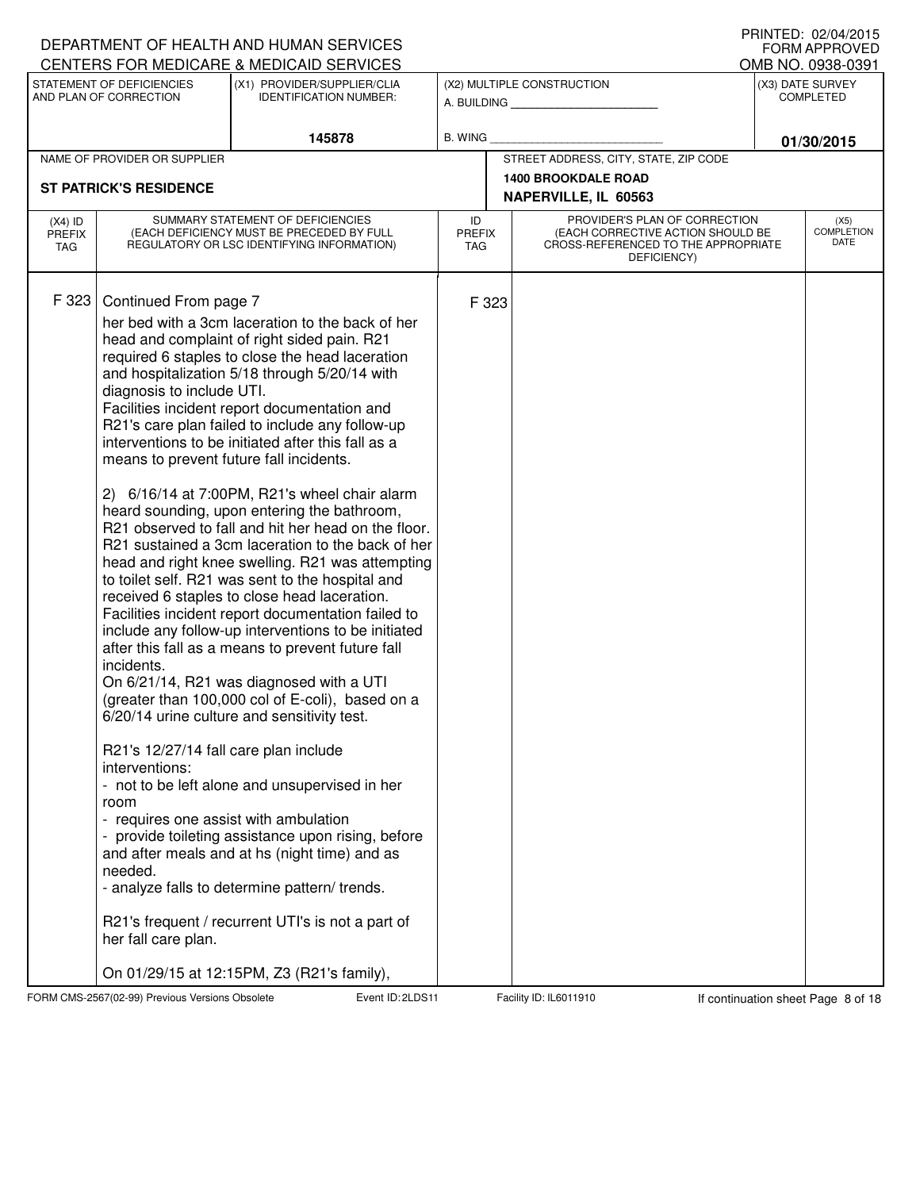|                                          |                                                                                                                                                                                                                                                           | DEPARTMENT OF HEALTH AND HUMAN SERVICES<br>CENTERS FOR MEDICARE & MEDICAID SERVICES                                                                                                                                                                                                                                                                                                                                                                                                                                                                                                                                                                                                                                                                                                                                                                                                                                                                                                                                                                                                                                                                                                                                                                                                                                                                            |                                   |                                                                                                                          | IIIIIIILLU. UZ/UH/ZUIJ<br><b>FORM APPROVED</b><br>OMB NO. 0938-0391 |
|------------------------------------------|-----------------------------------------------------------------------------------------------------------------------------------------------------------------------------------------------------------------------------------------------------------|----------------------------------------------------------------------------------------------------------------------------------------------------------------------------------------------------------------------------------------------------------------------------------------------------------------------------------------------------------------------------------------------------------------------------------------------------------------------------------------------------------------------------------------------------------------------------------------------------------------------------------------------------------------------------------------------------------------------------------------------------------------------------------------------------------------------------------------------------------------------------------------------------------------------------------------------------------------------------------------------------------------------------------------------------------------------------------------------------------------------------------------------------------------------------------------------------------------------------------------------------------------------------------------------------------------------------------------------------------------|-----------------------------------|--------------------------------------------------------------------------------------------------------------------------|---------------------------------------------------------------------|
|                                          | STATEMENT OF DEFICIENCIES<br>AND PLAN OF CORRECTION                                                                                                                                                                                                       | (X1) PROVIDER/SUPPLIER/CLIA<br><b>IDENTIFICATION NUMBER:</b>                                                                                                                                                                                                                                                                                                                                                                                                                                                                                                                                                                                                                                                                                                                                                                                                                                                                                                                                                                                                                                                                                                                                                                                                                                                                                                   |                                   | (X2) MULTIPLE CONSTRUCTION<br>A. BUILDING                                                                                | (X3) DATE SURVEY<br><b>COMPLETED</b>                                |
|                                          |                                                                                                                                                                                                                                                           | 145878                                                                                                                                                                                                                                                                                                                                                                                                                                                                                                                                                                                                                                                                                                                                                                                                                                                                                                                                                                                                                                                                                                                                                                                                                                                                                                                                                         | B. WING                           |                                                                                                                          | 01/30/2015                                                          |
|                                          | NAME OF PROVIDER OR SUPPLIER                                                                                                                                                                                                                              |                                                                                                                                                                                                                                                                                                                                                                                                                                                                                                                                                                                                                                                                                                                                                                                                                                                                                                                                                                                                                                                                                                                                                                                                                                                                                                                                                                |                                   | STREET ADDRESS, CITY, STATE, ZIP CODE                                                                                    |                                                                     |
|                                          | <b>ST PATRICK'S RESIDENCE</b>                                                                                                                                                                                                                             |                                                                                                                                                                                                                                                                                                                                                                                                                                                                                                                                                                                                                                                                                                                                                                                                                                                                                                                                                                                                                                                                                                                                                                                                                                                                                                                                                                |                                   | <b>1400 BROOKDALE ROAD</b><br>NAPERVILLE, IL 60563                                                                       |                                                                     |
| $(X4)$ ID<br><b>PREFIX</b><br><b>TAG</b> |                                                                                                                                                                                                                                                           | SUMMARY STATEMENT OF DEFICIENCIES<br>(EACH DEFICIENCY MUST BE PRECEDED BY FULL<br>REGULATORY OR LSC IDENTIFYING INFORMATION)                                                                                                                                                                                                                                                                                                                                                                                                                                                                                                                                                                                                                                                                                                                                                                                                                                                                                                                                                                                                                                                                                                                                                                                                                                   | ID<br><b>PREFIX</b><br><b>TAG</b> | PROVIDER'S PLAN OF CORRECTION<br>(EACH CORRECTIVE ACTION SHOULD BE<br>CROSS-REFERENCED TO THE APPROPRIATE<br>DEFICIENCY) | (X5)<br><b>COMPLETION</b><br>DATE                                   |
| F 323                                    | Continued From page 7<br>diagnosis to include UTI.<br>means to prevent future fall incidents.<br>incidents.<br>R21's 12/27/14 fall care plan include<br>interventions:<br>room<br>- requires one assist with ambulation<br>needed.<br>her fall care plan. | her bed with a 3cm laceration to the back of her<br>head and complaint of right sided pain. R21<br>required 6 staples to close the head laceration<br>and hospitalization 5/18 through 5/20/14 with<br>Facilities incident report documentation and<br>R21's care plan failed to include any follow-up<br>interventions to be initiated after this fall as a<br>2) 6/16/14 at 7:00PM, R21's wheel chair alarm<br>heard sounding, upon entering the bathroom,<br>R21 observed to fall and hit her head on the floor.<br>R21 sustained a 3cm laceration to the back of her<br>head and right knee swelling. R21 was attempting<br>to toilet self. R21 was sent to the hospital and<br>received 6 staples to close head laceration.<br>Facilities incident report documentation failed to<br>include any follow-up interventions to be initiated<br>after this fall as a means to prevent future fall<br>On 6/21/14, R21 was diagnosed with a UTI<br>(greater than 100,000 col of E-coli), based on a<br>6/20/14 urine culture and sensitivity test.<br>- not to be left alone and unsupervised in her<br>- provide toileting assistance upon rising, before<br>and after meals and at hs (night time) and as<br>- analyze falls to determine pattern/ trends.<br>R21's frequent / recurrent UTI's is not a part of<br>On 01/29/15 at 12:15PM, Z3 (R21's family), | F 323                             |                                                                                                                          |                                                                     |

FORM CMS-2567(02-99) Previous Versions Obsolete **2.2LDS Event ID: 2LDS11** Facility ID: IL6011910 If continuation sheet Page 8 of 18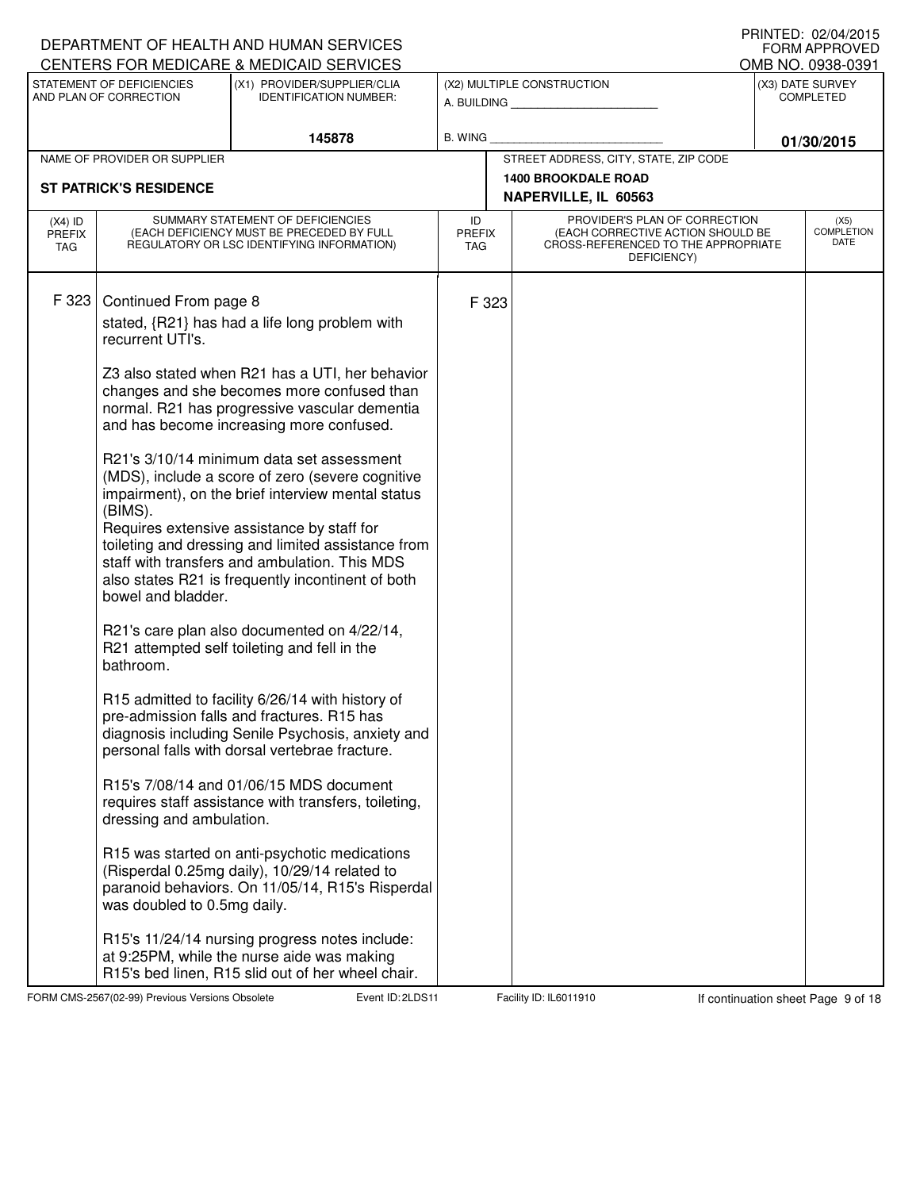|                            |                                                     | DEPARTMENT OF HEALTH AND HUMAN SERVICES<br>CENTERS FOR MEDICARE & MEDICAID SERVICES                                                                                                                                                                                                                                                                          |                                   |                                                                                                                          | IIUINILLY. VZ/V≒/ZVIJ<br>FORM APPROVED<br>OMB NO. 0938-0391 |
|----------------------------|-----------------------------------------------------|--------------------------------------------------------------------------------------------------------------------------------------------------------------------------------------------------------------------------------------------------------------------------------------------------------------------------------------------------------------|-----------------------------------|--------------------------------------------------------------------------------------------------------------------------|-------------------------------------------------------------|
|                            | STATEMENT OF DEFICIENCIES<br>AND PLAN OF CORRECTION | (X1) PROVIDER/SUPPLIER/CLIA<br><b>IDENTIFICATION NUMBER:</b>                                                                                                                                                                                                                                                                                                 |                                   | (X2) MULTIPLE CONSTRUCTION<br>A. BUILDING                                                                                | (X3) DATE SURVEY<br><b>COMPLETED</b>                        |
|                            |                                                     | 145878                                                                                                                                                                                                                                                                                                                                                       | <b>B. WING</b>                    |                                                                                                                          | 01/30/2015                                                  |
|                            | NAME OF PROVIDER OR SUPPLIER                        |                                                                                                                                                                                                                                                                                                                                                              |                                   | STREET ADDRESS, CITY, STATE, ZIP CODE                                                                                    |                                                             |
|                            | <b>ST PATRICK'S RESIDENCE</b>                       |                                                                                                                                                                                                                                                                                                                                                              |                                   | <b>1400 BROOKDALE ROAD</b><br>NAPERVILLE, IL 60563                                                                       |                                                             |
| $(X4)$ ID<br>PREFIX<br>TAG |                                                     | SUMMARY STATEMENT OF DEFICIENCIES<br>(EACH DEFICIENCY MUST BE PRECEDED BY FULL<br>REGULATORY OR LSC IDENTIFYING INFORMATION)                                                                                                                                                                                                                                 | ID<br><b>PREFIX</b><br><b>TAG</b> | PROVIDER'S PLAN OF CORRECTION<br>(EACH CORRECTIVE ACTION SHOULD BE<br>CROSS-REFERENCED TO THE APPROPRIATE<br>DEFICIENCY) | (X5)<br><b>COMPLETION</b><br>DATE                           |
| F 323                      | Continued From page 8<br>recurrent UTI's.           | stated, {R21} has had a life long problem with                                                                                                                                                                                                                                                                                                               | F 323                             |                                                                                                                          |                                                             |
|                            |                                                     | Z3 also stated when R21 has a UTI, her behavior<br>changes and she becomes more confused than<br>normal. R21 has progressive vascular dementia<br>and has become increasing more confused.                                                                                                                                                                   |                                   |                                                                                                                          |                                                             |
|                            | (BIMS).<br>bowel and bladder.                       | R21's 3/10/14 minimum data set assessment<br>(MDS), include a score of zero (severe cognitive<br>impairment), on the brief interview mental status<br>Requires extensive assistance by staff for<br>toileting and dressing and limited assistance from<br>staff with transfers and ambulation. This MDS<br>also states R21 is frequently incontinent of both |                                   |                                                                                                                          |                                                             |
|                            | bathroom.                                           | R21's care plan also documented on 4/22/14,<br>R21 attempted self toileting and fell in the                                                                                                                                                                                                                                                                  |                                   |                                                                                                                          |                                                             |
|                            |                                                     | R15 admitted to facility 6/26/14 with history of<br>pre-admission falls and fractures. R15 has<br>diagnosis including Senile Psychosis, anxiety and<br>personal falls with dorsal vertebrae fracture.                                                                                                                                                        |                                   |                                                                                                                          |                                                             |
|                            | dressing and ambulation.                            | R15's 7/08/14 and 01/06/15 MDS document<br>requires staff assistance with transfers, toileting,                                                                                                                                                                                                                                                              |                                   |                                                                                                                          |                                                             |
|                            | was doubled to 0.5mg daily.                         | R15 was started on anti-psychotic medications<br>(Risperdal 0.25mg daily), 10/29/14 related to<br>paranoid behaviors. On 11/05/14, R15's Risperdal                                                                                                                                                                                                           |                                   |                                                                                                                          |                                                             |
|                            |                                                     | R15's 11/24/14 nursing progress notes include:<br>at 9:25PM, while the nurse aide was making<br>R15's bed linen, R15 slid out of her wheel chair.                                                                                                                                                                                                            |                                   |                                                                                                                          |                                                             |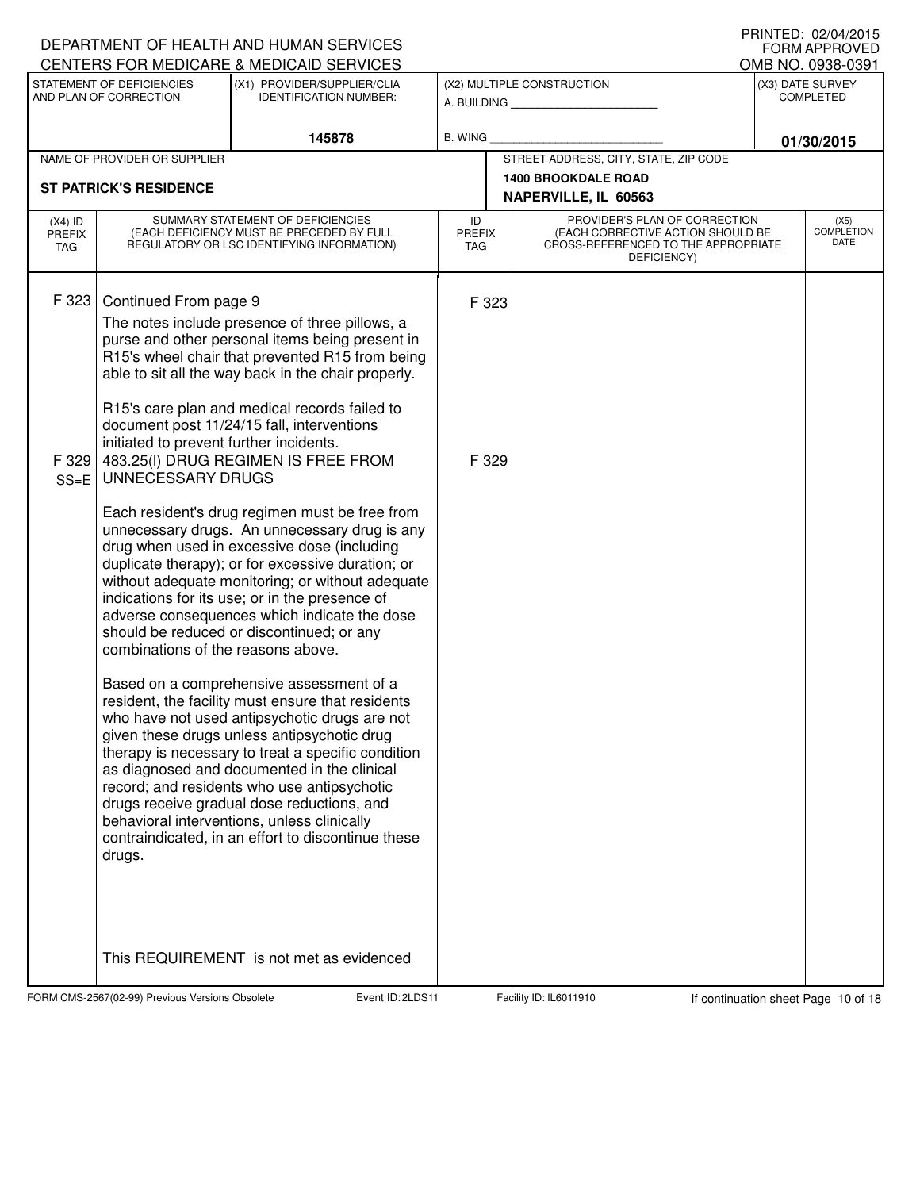|                                          |                                                                                                                                       | DEPARTMENT OF HEALTH AND HUMAN SERVICES<br>CENTERS FOR MEDICARE & MEDICAID SERVICES                                                                                                                                                                                                                                                                                                                                                                                                                                                                                                                                                                                                                                                                                                                                                                                                                                                                                                                                                                                                                                                                                                                                                                                 |                            |                |                                                                                                                          |                  | FORM APPROVED<br>OMB NO. 0938-0391  |
|------------------------------------------|---------------------------------------------------------------------------------------------------------------------------------------|---------------------------------------------------------------------------------------------------------------------------------------------------------------------------------------------------------------------------------------------------------------------------------------------------------------------------------------------------------------------------------------------------------------------------------------------------------------------------------------------------------------------------------------------------------------------------------------------------------------------------------------------------------------------------------------------------------------------------------------------------------------------------------------------------------------------------------------------------------------------------------------------------------------------------------------------------------------------------------------------------------------------------------------------------------------------------------------------------------------------------------------------------------------------------------------------------------------------------------------------------------------------|----------------------------|----------------|--------------------------------------------------------------------------------------------------------------------------|------------------|-------------------------------------|
|                                          | STATEMENT OF DEFICIENCIES<br>AND PLAN OF CORRECTION                                                                                   | (X1) PROVIDER/SUPPLIER/CLIA<br><b>IDENTIFICATION NUMBER:</b>                                                                                                                                                                                                                                                                                                                                                                                                                                                                                                                                                                                                                                                                                                                                                                                                                                                                                                                                                                                                                                                                                                                                                                                                        |                            |                | (X2) MULTIPLE CONSTRUCTION<br>A. BUILDING <b>A.</b> BUILDING                                                             | (X3) DATE SURVEY | COMPLETED                           |
|                                          |                                                                                                                                       | 145878                                                                                                                                                                                                                                                                                                                                                                                                                                                                                                                                                                                                                                                                                                                                                                                                                                                                                                                                                                                                                                                                                                                                                                                                                                                              | <b>B. WING</b>             |                |                                                                                                                          |                  | 01/30/2015                          |
|                                          | NAME OF PROVIDER OR SUPPLIER                                                                                                          |                                                                                                                                                                                                                                                                                                                                                                                                                                                                                                                                                                                                                                                                                                                                                                                                                                                                                                                                                                                                                                                                                                                                                                                                                                                                     |                            |                | STREET ADDRESS, CITY, STATE, ZIP CODE                                                                                    |                  |                                     |
|                                          | <b>ST PATRICK'S RESIDENCE</b>                                                                                                         |                                                                                                                                                                                                                                                                                                                                                                                                                                                                                                                                                                                                                                                                                                                                                                                                                                                                                                                                                                                                                                                                                                                                                                                                                                                                     |                            |                | <b>1400 BROOKDALE ROAD</b><br>NAPERVILLE, IL 60563                                                                       |                  |                                     |
| $(X4)$ ID<br><b>PREFIX</b><br><b>TAG</b> |                                                                                                                                       | SUMMARY STATEMENT OF DEFICIENCIES<br>(EACH DEFICIENCY MUST BE PRECEDED BY FULL<br>REGULATORY OR LSC IDENTIFYING INFORMATION)                                                                                                                                                                                                                                                                                                                                                                                                                                                                                                                                                                                                                                                                                                                                                                                                                                                                                                                                                                                                                                                                                                                                        | ID<br><b>PREFIX</b><br>TAG |                | PROVIDER'S PLAN OF CORRECTION<br>(EACH CORRECTIVE ACTION SHOULD BE<br>CROSS-REFERENCED TO THE APPROPRIATE<br>DEFICIENCY) |                  | (X5)<br><b>COMPLETION</b><br>DATE   |
| F 323<br>F 329<br>$SS = E$               | Continued From page 9<br>initiated to prevent further incidents.<br>UNNECESSARY DRUGS<br>combinations of the reasons above.<br>drugs. | The notes include presence of three pillows, a<br>purse and other personal items being present in<br>R15's wheel chair that prevented R15 from being<br>able to sit all the way back in the chair properly.<br>R15's care plan and medical records failed to<br>document post 11/24/15 fall, interventions<br>483.25(I) DRUG REGIMEN IS FREE FROM<br>Each resident's drug regimen must be free from<br>unnecessary drugs. An unnecessary drug is any<br>drug when used in excessive dose (including<br>duplicate therapy); or for excessive duration; or<br>without adequate monitoring; or without adequate<br>indications for its use; or in the presence of<br>adverse consequences which indicate the dose<br>should be reduced or discontinued; or any<br>Based on a comprehensive assessment of a<br>resident, the facility must ensure that residents<br>who have not used antipsychotic drugs are not<br>given these drugs unless antipsychotic drug<br>therapy is necessary to treat a specific condition<br>as diagnosed and documented in the clinical<br>record; and residents who use antipsychotic<br>drugs receive gradual dose reductions, and<br>behavioral interventions, unless clinically<br>contraindicated, in an effort to discontinue these |                            | F 323<br>F 329 |                                                                                                                          |                  |                                     |
|                                          | FORM CMS-2567(02-99) Previous Versions Obsolete                                                                                       | This REQUIREMENT is not met as evidenced<br>Event ID: 2LDS11                                                                                                                                                                                                                                                                                                                                                                                                                                                                                                                                                                                                                                                                                                                                                                                                                                                                                                                                                                                                                                                                                                                                                                                                        |                            |                | Facility ID: IL6011910                                                                                                   |                  | If continuation sheet Page 10 of 18 |

DEPARTMENT OF HEALTH AND HUMAN SERVICES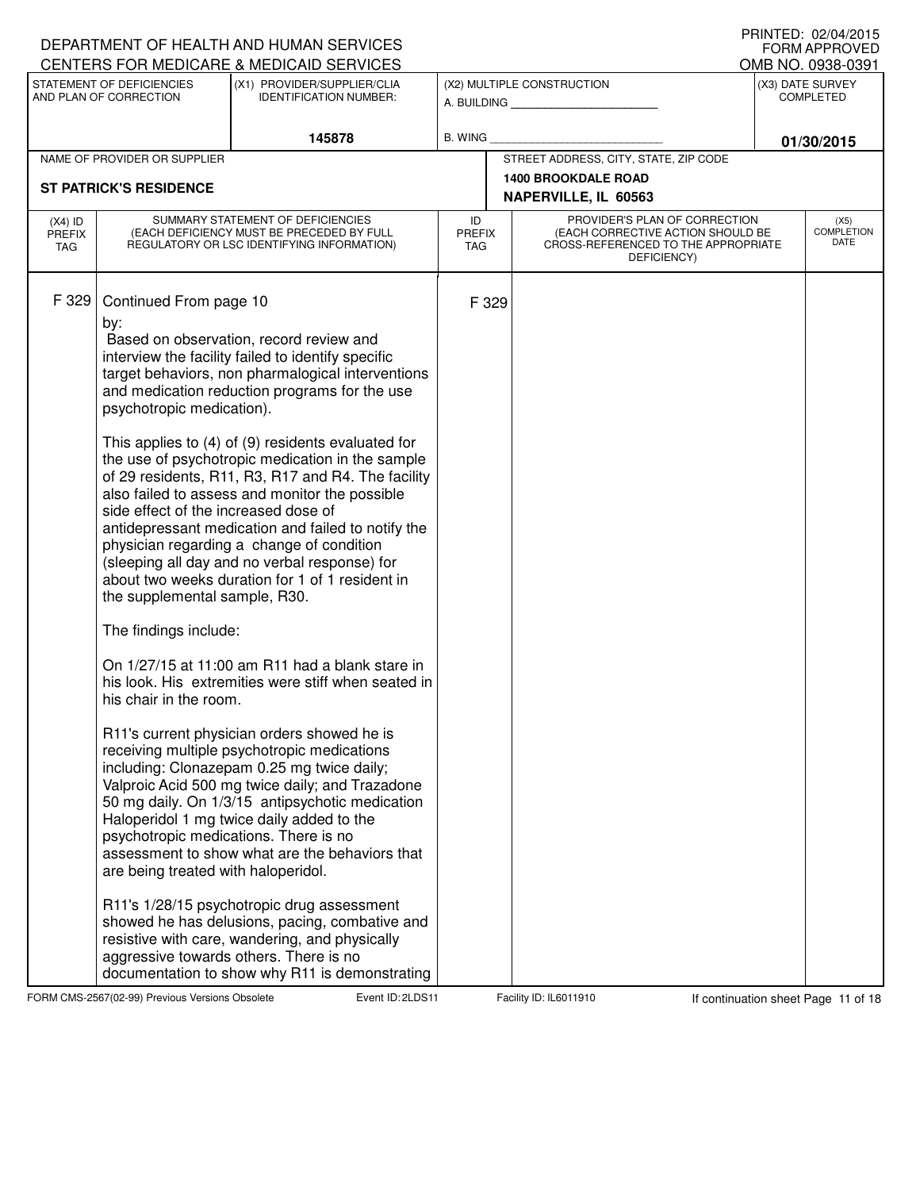|                                   |                                                                                                                                                                                                                                                                        | DEPARTMENT OF HEALTH AND HUMAN SERVICES<br>CENTERS FOR MEDICARE & MEDICAID SERVICES                                                                                                                                                                                                                                                                                                                                                                                                                                                                                                                                                                                                                                                                                                                                                                                                                                                                                                                                                                                                                                                                                                                                                                                                 |                            |       |                                                                                                                          | FORM APPROVED<br>OMB NO. 0938-0391 |
|-----------------------------------|------------------------------------------------------------------------------------------------------------------------------------------------------------------------------------------------------------------------------------------------------------------------|-------------------------------------------------------------------------------------------------------------------------------------------------------------------------------------------------------------------------------------------------------------------------------------------------------------------------------------------------------------------------------------------------------------------------------------------------------------------------------------------------------------------------------------------------------------------------------------------------------------------------------------------------------------------------------------------------------------------------------------------------------------------------------------------------------------------------------------------------------------------------------------------------------------------------------------------------------------------------------------------------------------------------------------------------------------------------------------------------------------------------------------------------------------------------------------------------------------------------------------------------------------------------------------|----------------------------|-------|--------------------------------------------------------------------------------------------------------------------------|------------------------------------|
|                                   | STATEMENT OF DEFICIENCIES                                                                                                                                                                                                                                              | (X1) PROVIDER/SUPPLIER/CLIA                                                                                                                                                                                                                                                                                                                                                                                                                                                                                                                                                                                                                                                                                                                                                                                                                                                                                                                                                                                                                                                                                                                                                                                                                                                         |                            |       | (X2) MULTIPLE CONSTRUCTION                                                                                               | (X3) DATE SURVEY                   |
|                                   | AND PLAN OF CORRECTION                                                                                                                                                                                                                                                 | <b>IDENTIFICATION NUMBER:</b>                                                                                                                                                                                                                                                                                                                                                                                                                                                                                                                                                                                                                                                                                                                                                                                                                                                                                                                                                                                                                                                                                                                                                                                                                                                       |                            |       | A. BUILDING <b>A. BUILDING</b>                                                                                           | <b>COMPLETED</b>                   |
|                                   |                                                                                                                                                                                                                                                                        | 145878                                                                                                                                                                                                                                                                                                                                                                                                                                                                                                                                                                                                                                                                                                                                                                                                                                                                                                                                                                                                                                                                                                                                                                                                                                                                              | <b>B. WING</b>             |       |                                                                                                                          | 01/30/2015                         |
|                                   | NAME OF PROVIDER OR SUPPLIER                                                                                                                                                                                                                                           |                                                                                                                                                                                                                                                                                                                                                                                                                                                                                                                                                                                                                                                                                                                                                                                                                                                                                                                                                                                                                                                                                                                                                                                                                                                                                     |                            |       | STREET ADDRESS, CITY, STATE, ZIP CODE                                                                                    |                                    |
|                                   | <b>ST PATRICK'S RESIDENCE</b>                                                                                                                                                                                                                                          |                                                                                                                                                                                                                                                                                                                                                                                                                                                                                                                                                                                                                                                                                                                                                                                                                                                                                                                                                                                                                                                                                                                                                                                                                                                                                     |                            |       | <b>1400 BROOKDALE ROAD</b>                                                                                               |                                    |
|                                   |                                                                                                                                                                                                                                                                        |                                                                                                                                                                                                                                                                                                                                                                                                                                                                                                                                                                                                                                                                                                                                                                                                                                                                                                                                                                                                                                                                                                                                                                                                                                                                                     |                            |       | NAPERVILLE, IL 60563                                                                                                     |                                    |
| $(X4)$ ID<br><b>PREFIX</b><br>TAG |                                                                                                                                                                                                                                                                        | SUMMARY STATEMENT OF DEFICIENCIES<br>(EACH DEFICIENCY MUST BE PRECEDED BY FULL<br>REGULATORY OR LSC IDENTIFYING INFORMATION)                                                                                                                                                                                                                                                                                                                                                                                                                                                                                                                                                                                                                                                                                                                                                                                                                                                                                                                                                                                                                                                                                                                                                        | ID<br>PREFIX<br><b>TAG</b> |       | PROVIDER'S PLAN OF CORRECTION<br>(EACH CORRECTIVE ACTION SHOULD BE<br>CROSS-REFERENCED TO THE APPROPRIATE<br>DEFICIENCY) | (X5)<br><b>COMPLETION</b><br>DATE  |
| F 329                             | Continued From page 10<br>by:<br>psychotropic medication).<br>side effect of the increased dose of<br>the supplemental sample, R30.<br>The findings include:<br>his chair in the room.<br>psychotropic medications. There is no<br>are being treated with haloperidol. | Based on observation, record review and<br>interview the facility failed to identify specific<br>target behaviors, non pharmalogical interventions<br>and medication reduction programs for the use<br>This applies to (4) of (9) residents evaluated for<br>the use of psychotropic medication in the sample<br>of 29 residents, R11, R3, R17 and R4. The facility<br>also failed to assess and monitor the possible<br>antidepressant medication and failed to notify the<br>physician regarding a change of condition<br>(sleeping all day and no verbal response) for<br>about two weeks duration for 1 of 1 resident in<br>On 1/27/15 at 11:00 am R11 had a blank stare in<br>his look. His extremities were stiff when seated in<br>R11's current physician orders showed he is<br>receiving multiple psychotropic medications<br>including: Clonazepam 0.25 mg twice daily;<br>Valproic Acid 500 mg twice daily; and Trazadone<br>50 mg daily. On 1/3/15 antipsychotic medication<br>Haloperidol 1 mg twice daily added to the<br>assessment to show what are the behaviors that<br>R11's 1/28/15 psychotropic drug assessment<br>showed he has delusions, pacing, combative and<br>resistive with care, wandering, and physically<br>aggressive towards others. There is no |                            | F 329 |                                                                                                                          |                                    |
|                                   |                                                                                                                                                                                                                                                                        | documentation to show why R11 is demonstrating                                                                                                                                                                                                                                                                                                                                                                                                                                                                                                                                                                                                                                                                                                                                                                                                                                                                                                                                                                                                                                                                                                                                                                                                                                      |                            |       |                                                                                                                          |                                    |

FORM CMS-2567(02-99) Previous Versions Obsolete 21 Event ID: 2LDS11 Facility ID: IL6011910 If continuation sheet Page 11 of 18

DEPARTMENT OF HEALTH AND HUMAN SERVICES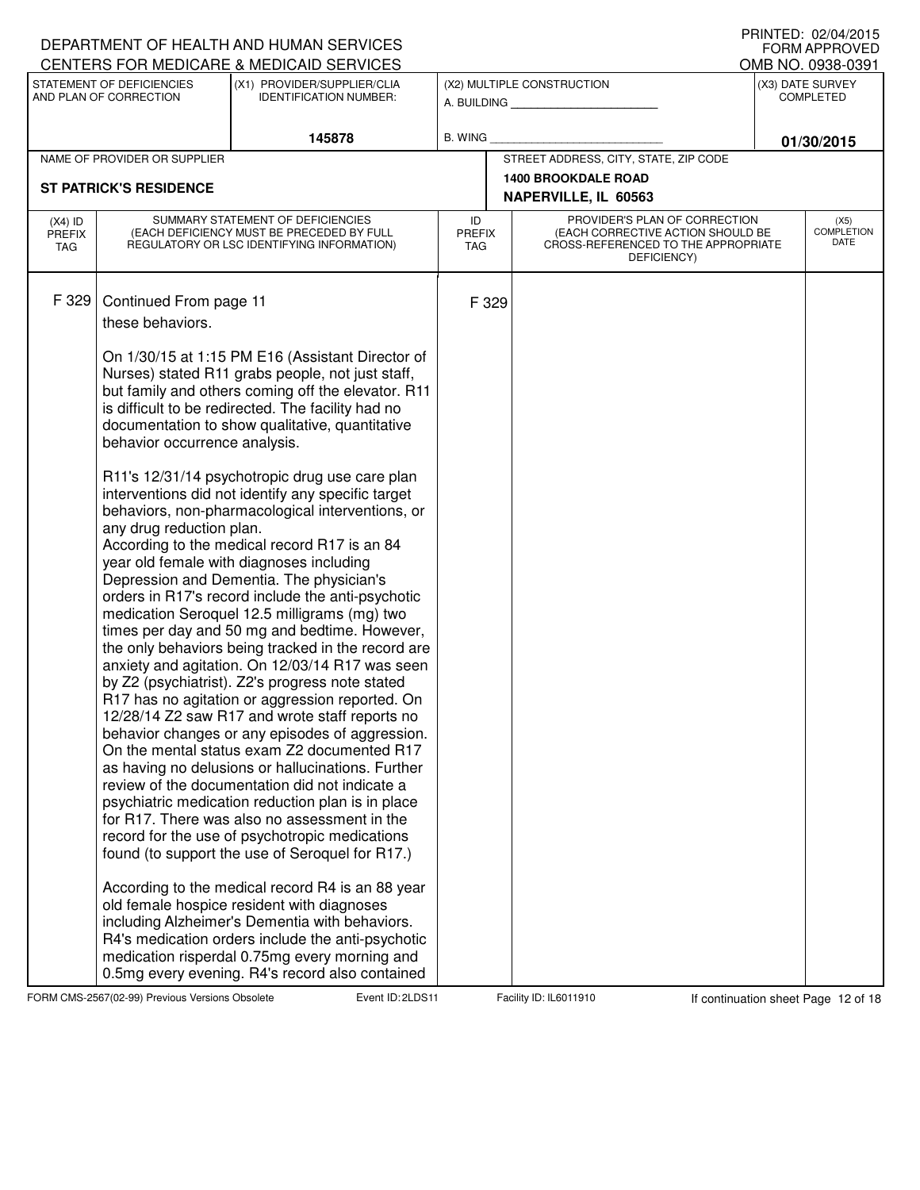|                                   |                                            | DEPARTMENT OF HEALTH AND HUMAN SERVICES<br>CENTERS FOR MEDICARE & MEDICAID SERVICES                                                                                                                                                                                                                                                                                                                                                                                                                                                                                                                                                                                                                                                                                                                                                                                                                                                                                                                                                                                                                                                        |                            |       |                                                                                                                          | FORM APPROVED<br>OMB NO. 0938-0391 |
|-----------------------------------|--------------------------------------------|--------------------------------------------------------------------------------------------------------------------------------------------------------------------------------------------------------------------------------------------------------------------------------------------------------------------------------------------------------------------------------------------------------------------------------------------------------------------------------------------------------------------------------------------------------------------------------------------------------------------------------------------------------------------------------------------------------------------------------------------------------------------------------------------------------------------------------------------------------------------------------------------------------------------------------------------------------------------------------------------------------------------------------------------------------------------------------------------------------------------------------------------|----------------------------|-------|--------------------------------------------------------------------------------------------------------------------------|------------------------------------|
|                                   | STATEMENT OF DEFICIENCIES                  | (X1) PROVIDER/SUPPLIER/CLIA                                                                                                                                                                                                                                                                                                                                                                                                                                                                                                                                                                                                                                                                                                                                                                                                                                                                                                                                                                                                                                                                                                                |                            |       | (X2) MULTIPLE CONSTRUCTION                                                                                               | (X3) DATE SURVEY                   |
|                                   | AND PLAN OF CORRECTION                     | <b>IDENTIFICATION NUMBER:</b>                                                                                                                                                                                                                                                                                                                                                                                                                                                                                                                                                                                                                                                                                                                                                                                                                                                                                                                                                                                                                                                                                                              |                            |       | A. BUILDING <b>A.</b> BUILDING                                                                                           | <b>COMPLETED</b>                   |
|                                   |                                            | 145878                                                                                                                                                                                                                                                                                                                                                                                                                                                                                                                                                                                                                                                                                                                                                                                                                                                                                                                                                                                                                                                                                                                                     | <b>B. WING</b>             |       |                                                                                                                          | 01/30/2015                         |
|                                   | NAME OF PROVIDER OR SUPPLIER               |                                                                                                                                                                                                                                                                                                                                                                                                                                                                                                                                                                                                                                                                                                                                                                                                                                                                                                                                                                                                                                                                                                                                            |                            |       | STREET ADDRESS, CITY, STATE, ZIP CODE                                                                                    |                                    |
|                                   | <b>ST PATRICK'S RESIDENCE</b>              |                                                                                                                                                                                                                                                                                                                                                                                                                                                                                                                                                                                                                                                                                                                                                                                                                                                                                                                                                                                                                                                                                                                                            |                            |       | <b>1400 BROOKDALE ROAD</b>                                                                                               |                                    |
|                                   |                                            |                                                                                                                                                                                                                                                                                                                                                                                                                                                                                                                                                                                                                                                                                                                                                                                                                                                                                                                                                                                                                                                                                                                                            |                            |       | NAPERVILLE, IL 60563                                                                                                     |                                    |
| $(X4)$ ID<br><b>PREFIX</b><br>TAG |                                            | SUMMARY STATEMENT OF DEFICIENCIES<br>(EACH DEFICIENCY MUST BE PRECEDED BY FULL<br>REGULATORY OR LSC IDENTIFYING INFORMATION)                                                                                                                                                                                                                                                                                                                                                                                                                                                                                                                                                                                                                                                                                                                                                                                                                                                                                                                                                                                                               | ID<br>PREFIX<br><b>TAG</b> |       | PROVIDER'S PLAN OF CORRECTION<br>(EACH CORRECTIVE ACTION SHOULD BE<br>CROSS-REFERENCED TO THE APPROPRIATE<br>DEFICIENCY) | (X5)<br><b>COMPLETION</b><br>DATE  |
| F 329                             | Continued From page 11<br>these behaviors. | On 1/30/15 at 1:15 PM E16 (Assistant Director of                                                                                                                                                                                                                                                                                                                                                                                                                                                                                                                                                                                                                                                                                                                                                                                                                                                                                                                                                                                                                                                                                           |                            | F 329 |                                                                                                                          |                                    |
|                                   | behavior occurrence analysis.              | Nurses) stated R11 grabs people, not just staff,<br>but family and others coming off the elevator. R11<br>is difficult to be redirected. The facility had no<br>documentation to show qualitative, quantitative                                                                                                                                                                                                                                                                                                                                                                                                                                                                                                                                                                                                                                                                                                                                                                                                                                                                                                                            |                            |       |                                                                                                                          |                                    |
|                                   | any drug reduction plan.                   | R11's 12/31/14 psychotropic drug use care plan<br>interventions did not identify any specific target<br>behaviors, non-pharmacological interventions, or<br>According to the medical record R17 is an 84<br>year old female with diagnoses including<br>Depression and Dementia. The physician's<br>orders in R17's record include the anti-psychotic<br>medication Seroquel 12.5 milligrams (mg) two<br>times per day and 50 mg and bedtime. However,<br>the only behaviors being tracked in the record are<br>anxiety and agitation. On 12/03/14 R17 was seen<br>by Z2 (psychiatrist). Z2's progress note stated<br>R17 has no agitation or aggression reported. On<br>12/28/14 Z2 saw R17 and wrote staff reports no<br>behavior changes or any episodes of aggression.<br>On the mental status exam Z2 documented R17<br>as having no delusions or hallucinations. Further<br>review of the documentation did not indicate a<br>psychiatric medication reduction plan is in place<br>for R17. There was also no assessment in the<br>record for the use of psychotropic medications<br>found (to support the use of Seroquel for R17.) |                            |       |                                                                                                                          |                                    |
|                                   |                                            | According to the medical record R4 is an 88 year<br>old female hospice resident with diagnoses<br>including Alzheimer's Dementia with behaviors.<br>R4's medication orders include the anti-psychotic<br>medication risperdal 0.75mg every morning and<br>0.5mg every evening. R4's record also contained                                                                                                                                                                                                                                                                                                                                                                                                                                                                                                                                                                                                                                                                                                                                                                                                                                  |                            |       |                                                                                                                          |                                    |

FORM CMS-2567(02-99) Previous Versions Obsolete 2.0 Event ID: 2LDS 11 Facility ID: IL6011910 If continuation sheet Page 12 of 18

DEPARTMENT OF HEALTH AND HUMAN SERVICES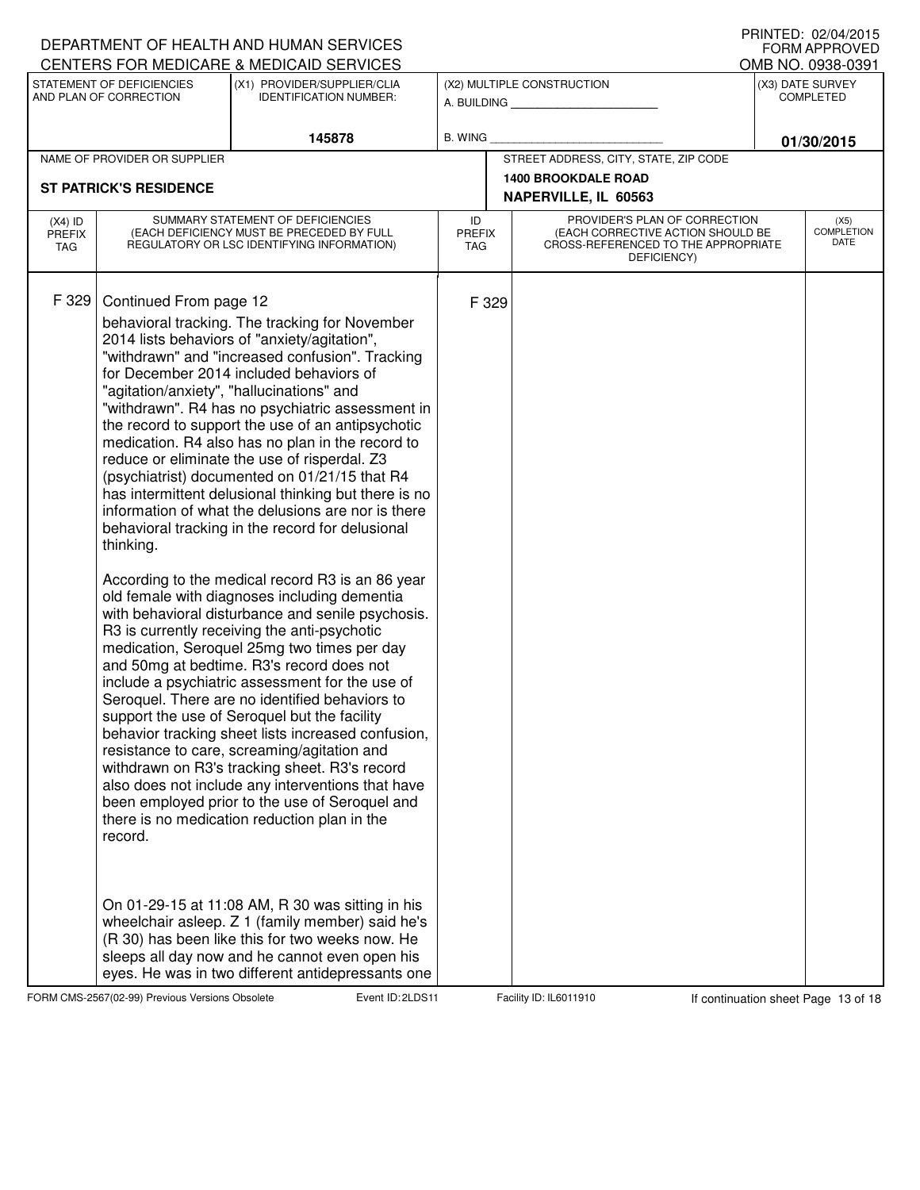|                                          |                                                | DEPARTMENT OF HEALTH AND HUMAN SERVICES                                                                                                                                                                                                                                                                                                                                                                                                                                                                                                                                                                                                                                                                                                                                                                                                                                                                                                                                                                                                                                                                                                                                                                                                                                                                                                                                                                                                          |                            |       |                                                                                                                          | FORM APPROVED                         |
|------------------------------------------|------------------------------------------------|--------------------------------------------------------------------------------------------------------------------------------------------------------------------------------------------------------------------------------------------------------------------------------------------------------------------------------------------------------------------------------------------------------------------------------------------------------------------------------------------------------------------------------------------------------------------------------------------------------------------------------------------------------------------------------------------------------------------------------------------------------------------------------------------------------------------------------------------------------------------------------------------------------------------------------------------------------------------------------------------------------------------------------------------------------------------------------------------------------------------------------------------------------------------------------------------------------------------------------------------------------------------------------------------------------------------------------------------------------------------------------------------------------------------------------------------------|----------------------------|-------|--------------------------------------------------------------------------------------------------------------------------|---------------------------------------|
|                                          | STATEMENT OF DEFICIENCIES                      | CENTERS FOR MEDICARE & MEDICAID SERVICES<br>(X1) PROVIDER/SUPPLIER/CLIA                                                                                                                                                                                                                                                                                                                                                                                                                                                                                                                                                                                                                                                                                                                                                                                                                                                                                                                                                                                                                                                                                                                                                                                                                                                                                                                                                                          |                            |       | (X2) MULTIPLE CONSTRUCTION                                                                                               | OMB NO. 0938-0391<br>(X3) DATE SURVEY |
|                                          | AND PLAN OF CORRECTION                         | <b>IDENTIFICATION NUMBER:</b>                                                                                                                                                                                                                                                                                                                                                                                                                                                                                                                                                                                                                                                                                                                                                                                                                                                                                                                                                                                                                                                                                                                                                                                                                                                                                                                                                                                                                    |                            |       | A. BUILDING                                                                                                              | <b>COMPLETED</b>                      |
|                                          |                                                | 145878                                                                                                                                                                                                                                                                                                                                                                                                                                                                                                                                                                                                                                                                                                                                                                                                                                                                                                                                                                                                                                                                                                                                                                                                                                                                                                                                                                                                                                           | <b>B. WING</b>             |       |                                                                                                                          | 01/30/2015                            |
|                                          | NAME OF PROVIDER OR SUPPLIER                   |                                                                                                                                                                                                                                                                                                                                                                                                                                                                                                                                                                                                                                                                                                                                                                                                                                                                                                                                                                                                                                                                                                                                                                                                                                                                                                                                                                                                                                                  |                            |       | STREET ADDRESS, CITY, STATE, ZIP CODE                                                                                    |                                       |
|                                          | <b>ST PATRICK'S RESIDENCE</b>                  |                                                                                                                                                                                                                                                                                                                                                                                                                                                                                                                                                                                                                                                                                                                                                                                                                                                                                                                                                                                                                                                                                                                                                                                                                                                                                                                                                                                                                                                  |                            |       | <b>1400 BROOKDALE ROAD</b><br>NAPERVILLE, IL 60563                                                                       |                                       |
| $(X4)$ ID<br><b>PREFIX</b><br><b>TAG</b> |                                                | SUMMARY STATEMENT OF DEFICIENCIES<br>(EACH DEFICIENCY MUST BE PRECEDED BY FULL<br>REGULATORY OR LSC IDENTIFYING INFORMATION)                                                                                                                                                                                                                                                                                                                                                                                                                                                                                                                                                                                                                                                                                                                                                                                                                                                                                                                                                                                                                                                                                                                                                                                                                                                                                                                     | ID<br><b>PREFIX</b><br>TAG |       | PROVIDER'S PLAN OF CORRECTION<br>(EACH CORRECTIVE ACTION SHOULD BE<br>CROSS-REFERENCED TO THE APPROPRIATE<br>DEFICIENCY) | (X5)<br><b>COMPLETION</b><br>DATE     |
| F 329                                    | Continued From page 12<br>thinking.<br>record. | behavioral tracking. The tracking for November<br>2014 lists behaviors of "anxiety/agitation",<br>"withdrawn" and "increased confusion". Tracking<br>for December 2014 included behaviors of<br>"agitation/anxiety", "hallucinations" and<br>"withdrawn". R4 has no psychiatric assessment in<br>the record to support the use of an antipsychotic<br>medication. R4 also has no plan in the record to<br>reduce or eliminate the use of risperdal. Z3<br>(psychiatrist) documented on 01/21/15 that R4<br>has intermittent delusional thinking but there is no<br>information of what the delusions are nor is there<br>behavioral tracking in the record for delusional<br>According to the medical record R3 is an 86 year<br>old female with diagnoses including dementia<br>with behavioral disturbance and senile psychosis.<br>R3 is currently receiving the anti-psychotic<br>medication, Seroquel 25mg two times per day<br>and 50mg at bedtime. R3's record does not<br>include a psychiatric assessment for the use of<br>Seroquel. There are no identified behaviors to<br>support the use of Seroquel but the facility<br>behavior tracking sheet lists increased confusion,<br>resistance to care, screaming/agitation and<br>withdrawn on R3's tracking sheet. R3's record<br>also does not include any interventions that have<br>been employed prior to the use of Seroquel and<br>there is no medication reduction plan in the |                            | F 329 |                                                                                                                          |                                       |
|                                          |                                                | On 01-29-15 at 11:08 AM, R 30 was sitting in his<br>wheelchair asleep. Z 1 (family member) said he's<br>(R 30) has been like this for two weeks now. He<br>sleeps all day now and he cannot even open his<br>eyes. He was in two different antidepressants one                                                                                                                                                                                                                                                                                                                                                                                                                                                                                                                                                                                                                                                                                                                                                                                                                                                                                                                                                                                                                                                                                                                                                                                   |                            |       |                                                                                                                          |                                       |

DEPARTMENT OF HEALTH AND HUMAN SERVICES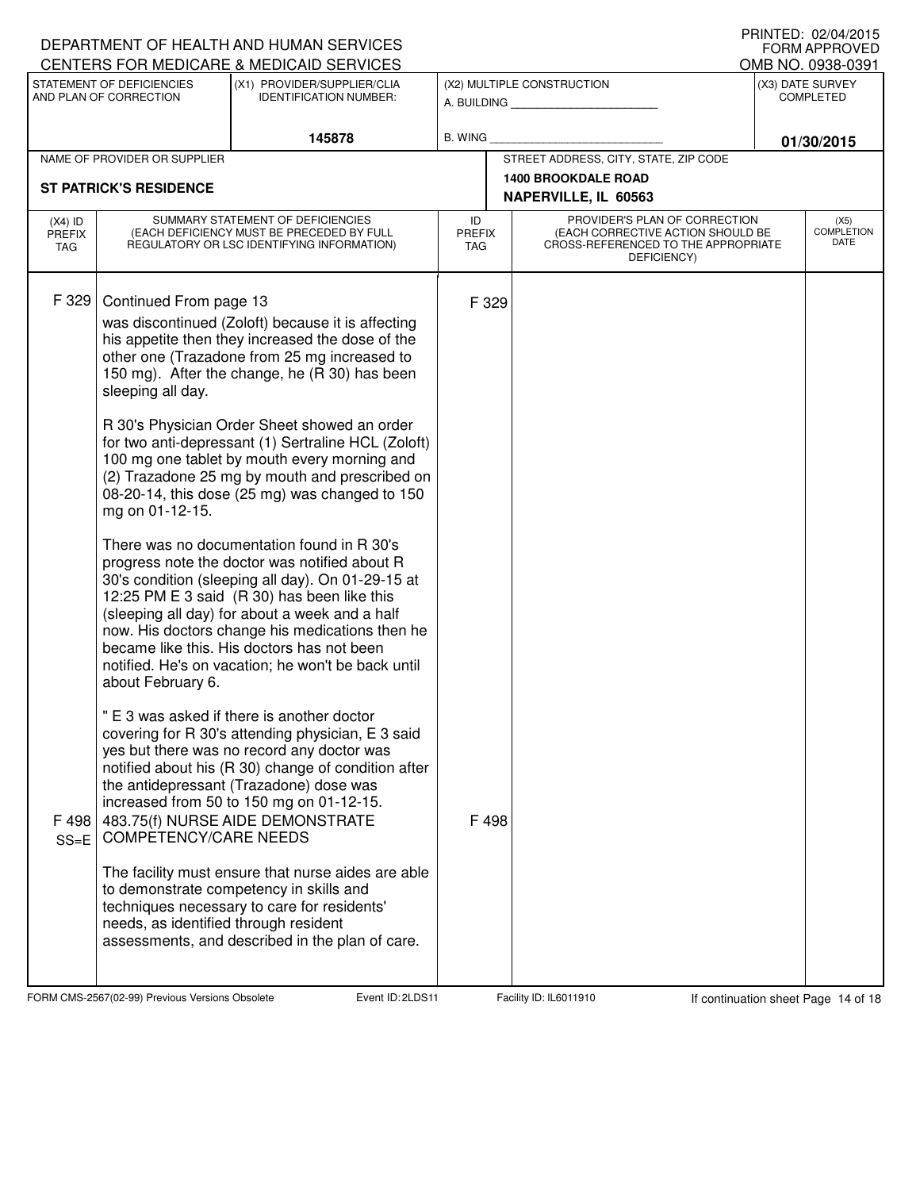|                                          |                                                                                                                              | DEPARTMENT OF HEALTH AND HUMAN SERVICES                                                                                                                                                                                                                                                                                                                                                                                                                                                                                                                          |                                   |                                                                                                                          | IIIIIIILLU. UZ/UH/ZUIJ<br>FORM APPROVED |
|------------------------------------------|------------------------------------------------------------------------------------------------------------------------------|------------------------------------------------------------------------------------------------------------------------------------------------------------------------------------------------------------------------------------------------------------------------------------------------------------------------------------------------------------------------------------------------------------------------------------------------------------------------------------------------------------------------------------------------------------------|-----------------------------------|--------------------------------------------------------------------------------------------------------------------------|-----------------------------------------|
|                                          |                                                                                                                              | CENTERS FOR MEDICARE & MEDICAID SERVICES                                                                                                                                                                                                                                                                                                                                                                                                                                                                                                                         |                                   |                                                                                                                          | OMB NO. 0938-0391                       |
|                                          | STATEMENT OF DEFICIENCIES<br>AND PLAN OF CORRECTION                                                                          | (X1) PROVIDER/SUPPLIER/CLIA<br><b>IDENTIFICATION NUMBER:</b>                                                                                                                                                                                                                                                                                                                                                                                                                                                                                                     |                                   | (X2) MULTIPLE CONSTRUCTION<br>A. BUILDING <b>A.</b> BUILDING                                                             | (X3) DATE SURVEY<br><b>COMPLETED</b>    |
|                                          |                                                                                                                              | 145878                                                                                                                                                                                                                                                                                                                                                                                                                                                                                                                                                           | <b>B. WING</b>                    |                                                                                                                          | 01/30/2015                              |
|                                          | NAME OF PROVIDER OR SUPPLIER                                                                                                 |                                                                                                                                                                                                                                                                                                                                                                                                                                                                                                                                                                  |                                   | STREET ADDRESS, CITY, STATE, ZIP CODE                                                                                    |                                         |
| <b>ST PATRICK'S RESIDENCE</b>            |                                                                                                                              |                                                                                                                                                                                                                                                                                                                                                                                                                                                                                                                                                                  |                                   | <b>1400 BROOKDALE ROAD</b><br>NAPERVILLE, IL 60563                                                                       |                                         |
| $(X4)$ ID<br><b>PREFIX</b><br><b>TAG</b> | SUMMARY STATEMENT OF DEFICIENCIES<br>(EACH DEFICIENCY MUST BE PRECEDED BY FULL<br>REGULATORY OR LSC IDENTIFYING INFORMATION) |                                                                                                                                                                                                                                                                                                                                                                                                                                                                                                                                                                  | ID<br><b>PREFIX</b><br><b>TAG</b> | PROVIDER'S PLAN OF CORRECTION<br>(EACH CORRECTIVE ACTION SHOULD BE<br>CROSS-REFERENCED TO THE APPROPRIATE<br>DEFICIENCY) | (X5)<br><b>COMPLETION</b><br>DATE       |
| F 329                                    | Continued From page 13<br>sleeping all day.<br>mg on 01-12-15.                                                               | was discontinued (Zoloft) because it is affecting<br>his appetite then they increased the dose of the<br>other one (Trazadone from 25 mg increased to<br>150 mg). After the change, he (R 30) has been<br>R 30's Physician Order Sheet showed an order<br>for two anti-depressant (1) Sertraline HCL (Zoloft)<br>100 mg one tablet by mouth every morning and<br>(2) Trazadone 25 mg by mouth and prescribed on<br>08-20-14, this dose (25 mg) was changed to 150<br>There was no documentation found in R 30's<br>progress note the doctor was notified about R | F 329                             |                                                                                                                          |                                         |
|                                          | about February 6.                                                                                                            | 30's condition (sleeping all day). On 01-29-15 at<br>12:25 PM E 3 said (R 30) has been like this<br>(sleeping all day) for about a week and a half<br>now. His doctors change his medications then he<br>became like this. His doctors has not been<br>notified. He's on vacation; he won't be back until                                                                                                                                                                                                                                                        |                                   |                                                                                                                          |                                         |
| F 498<br>$SS = E$                        | <b>COMPETENCY/CARE NEEDS</b>                                                                                                 | " E 3 was asked if there is another doctor<br>covering for R 30's attending physician, E 3 said<br>yes but there was no record any doctor was<br>notified about his (R 30) change of condition after<br>the antidepressant (Trazadone) dose was<br>increased from 50 to 150 mg on 01-12-15.<br>483.75(f) NURSE AIDE DEMONSTRATE                                                                                                                                                                                                                                  | F 498                             |                                                                                                                          |                                         |
|                                          | needs, as identified through resident                                                                                        | The facility must ensure that nurse aides are able<br>to demonstrate competency in skills and<br>techniques necessary to care for residents'<br>assessments, and described in the plan of care.                                                                                                                                                                                                                                                                                                                                                                  |                                   |                                                                                                                          |                                         |

FORM CMS-2567(02-99) Previous Versions Obsolete 21 Event ID: 2LDS11 Facility ID: IL6011910 If continuation sheet Page 14 of 18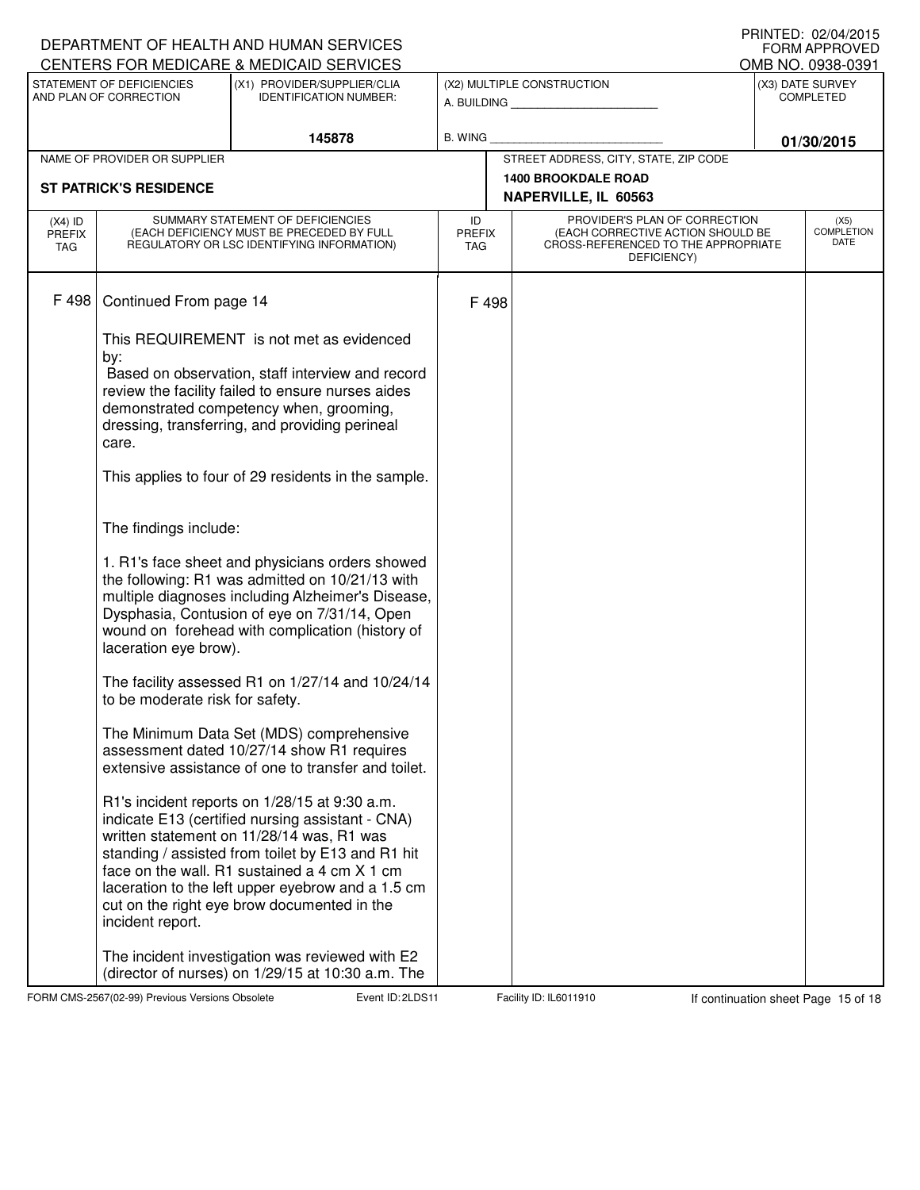|                                   |                                                                | DEPARTMENT OF HEALTH AND HUMAN SERVICES                                                                                                                                                                                                                                                                                                                                                                                                                                                                                                                                                                                 |                                   |                                                                                                                          |  | IIUINILLU. UZ/U≒/ZUIJ<br>FORM APPROVED |
|-----------------------------------|----------------------------------------------------------------|-------------------------------------------------------------------------------------------------------------------------------------------------------------------------------------------------------------------------------------------------------------------------------------------------------------------------------------------------------------------------------------------------------------------------------------------------------------------------------------------------------------------------------------------------------------------------------------------------------------------------|-----------------------------------|--------------------------------------------------------------------------------------------------------------------------|--|----------------------------------------|
|                                   | STATEMENT OF DEFICIENCIES                                      | CENTERS FOR MEDICARE & MEDICAID SERVICES                                                                                                                                                                                                                                                                                                                                                                                                                                                                                                                                                                                |                                   |                                                                                                                          |  | OMB NO. 0938-0391                      |
|                                   | AND PLAN OF CORRECTION                                         | (X1) PROVIDER/SUPPLIER/CLIA<br><b>IDENTIFICATION NUMBER:</b>                                                                                                                                                                                                                                                                                                                                                                                                                                                                                                                                                            |                                   | (X2) MULTIPLE CONSTRUCTION<br>A. BUILDING                                                                                |  | (X3) DATE SURVEY<br><b>COMPLETED</b>   |
|                                   |                                                                | 145878                                                                                                                                                                                                                                                                                                                                                                                                                                                                                                                                                                                                                  | B. WING                           |                                                                                                                          |  | 01/30/2015                             |
|                                   | NAME OF PROVIDER OR SUPPLIER                                   |                                                                                                                                                                                                                                                                                                                                                                                                                                                                                                                                                                                                                         |                                   | STREET ADDRESS, CITY, STATE, ZIP CODE                                                                                    |  |                                        |
|                                   | <b>ST PATRICK'S RESIDENCE</b>                                  |                                                                                                                                                                                                                                                                                                                                                                                                                                                                                                                                                                                                                         |                                   | <b>1400 BROOKDALE ROAD</b>                                                                                               |  |                                        |
|                                   |                                                                |                                                                                                                                                                                                                                                                                                                                                                                                                                                                                                                                                                                                                         |                                   | NAPERVILLE, IL 60563                                                                                                     |  |                                        |
| $(X4)$ ID<br><b>PREFIX</b><br>TAG |                                                                | SUMMARY STATEMENT OF DEFICIENCIES<br>(EACH DEFICIENCY MUST BE PRECEDED BY FULL<br>REGULATORY OR LSC IDENTIFYING INFORMATION)                                                                                                                                                                                                                                                                                                                                                                                                                                                                                            | ID<br><b>PREFIX</b><br><b>TAG</b> | PROVIDER'S PLAN OF CORRECTION<br>(EACH CORRECTIVE ACTION SHOULD BE<br>CROSS-REFERENCED TO THE APPROPRIATE<br>DEFICIENCY) |  | (X5)<br>COMPLETION<br>DATE             |
| F 498                             | Continued From page 14                                         |                                                                                                                                                                                                                                                                                                                                                                                                                                                                                                                                                                                                                         | F 498                             |                                                                                                                          |  |                                        |
|                                   | by:<br>care.<br>The findings include:<br>laceration eye brow). | This REQUIREMENT is not met as evidenced<br>Based on observation, staff interview and record<br>review the facility failed to ensure nurses aides<br>demonstrated competency when, grooming,<br>dressing, transferring, and providing perineal<br>This applies to four of 29 residents in the sample.<br>1. R1's face sheet and physicians orders showed<br>the following: R1 was admitted on 10/21/13 with<br>multiple diagnoses including Alzheimer's Disease,<br>Dysphasia, Contusion of eye on 7/31/14, Open<br>wound on forehead with complication (history of<br>The facility assessed R1 on 1/27/14 and 10/24/14 |                                   |                                                                                                                          |  |                                        |
|                                   | to be moderate risk for safety.                                | The Minimum Data Set (MDS) comprehensive<br>assessment dated 10/27/14 show R1 requires<br>extensive assistance of one to transfer and toilet.                                                                                                                                                                                                                                                                                                                                                                                                                                                                           |                                   |                                                                                                                          |  |                                        |
|                                   | incident report.                                               | R1's incident reports on 1/28/15 at 9:30 a.m.<br>indicate E13 (certified nursing assistant - CNA)<br>written statement on 11/28/14 was, R1 was<br>standing / assisted from toilet by E13 and R1 hit<br>face on the wall. R1 sustained a 4 cm X 1 cm<br>laceration to the left upper eyebrow and a 1.5 cm<br>cut on the right eye brow documented in the<br>The incident investigation was reviewed with E2                                                                                                                                                                                                              |                                   |                                                                                                                          |  |                                        |
|                                   |                                                                | (director of nurses) on 1/29/15 at 10:30 a.m. The                                                                                                                                                                                                                                                                                                                                                                                                                                                                                                                                                                       |                                   |                                                                                                                          |  |                                        |

FORM CMS-2567(02-99) Previous Versions Obsolete 2LDS Event ID: 2LDS 11 Facility ID: IL6011910 If continuation sheet Page 15 of 18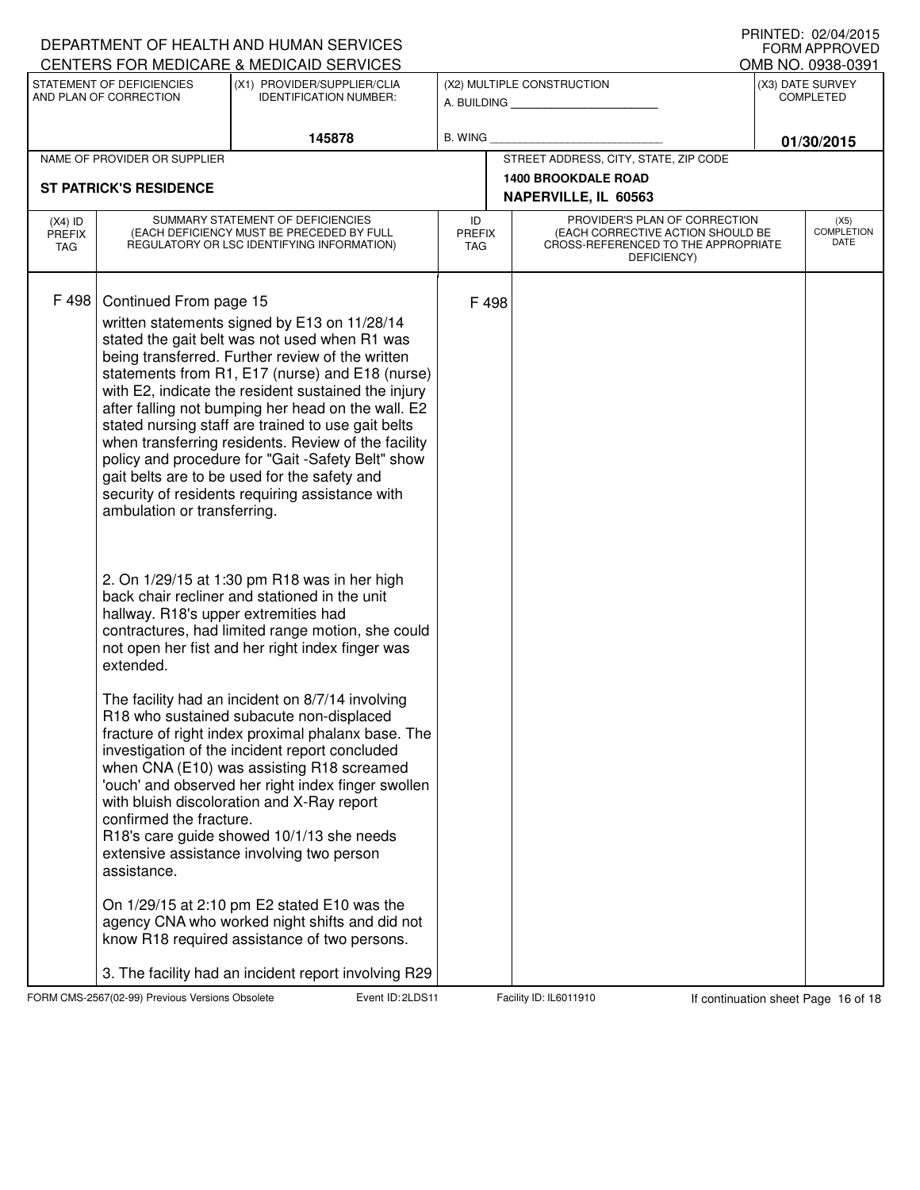|                                          |                                                       | DEPARTMENT OF HEALTH AND HUMAN SERVICES<br>CENTERS FOR MEDICARE & MEDICAID SERVICES                                                                                                                                                                                                                                                                                                                                                                                                                                                                                                    |                                   |                                                                                                                          |  | IIUINILLU. UZ/U≒I/ZUIJ<br>FORM APPROVED<br>OMB NO. 0938-0391 |  |
|------------------------------------------|-------------------------------------------------------|----------------------------------------------------------------------------------------------------------------------------------------------------------------------------------------------------------------------------------------------------------------------------------------------------------------------------------------------------------------------------------------------------------------------------------------------------------------------------------------------------------------------------------------------------------------------------------------|-----------------------------------|--------------------------------------------------------------------------------------------------------------------------|--|--------------------------------------------------------------|--|
|                                          | STATEMENT OF DEFICIENCIES<br>AND PLAN OF CORRECTION   | (X1) PROVIDER/SUPPLIER/CLIA<br><b>IDENTIFICATION NUMBER:</b>                                                                                                                                                                                                                                                                                                                                                                                                                                                                                                                           |                                   | (X2) MULTIPLE CONSTRUCTION<br>A. BUILDING                                                                                |  | (X3) DATE SURVEY<br><b>COMPLETED</b>                         |  |
|                                          |                                                       | 145878                                                                                                                                                                                                                                                                                                                                                                                                                                                                                                                                                                                 | <b>B. WING</b>                    |                                                                                                                          |  | 01/30/2015                                                   |  |
|                                          | NAME OF PROVIDER OR SUPPLIER                          |                                                                                                                                                                                                                                                                                                                                                                                                                                                                                                                                                                                        |                                   | STREET ADDRESS, CITY, STATE, ZIP CODE                                                                                    |  |                                                              |  |
|                                          | <b>ST PATRICK'S RESIDENCE</b>                         |                                                                                                                                                                                                                                                                                                                                                                                                                                                                                                                                                                                        |                                   | <b>1400 BROOKDALE ROAD</b><br>NAPERVILLE, IL 60563                                                                       |  |                                                              |  |
| $(X4)$ ID<br><b>PREFIX</b><br><b>TAG</b> |                                                       | SUMMARY STATEMENT OF DEFICIENCIES<br>(EACH DEFICIENCY MUST BE PRECEDED BY FULL<br>REGULATORY OR LSC IDENTIFYING INFORMATION)                                                                                                                                                                                                                                                                                                                                                                                                                                                           | ID<br><b>PREFIX</b><br><b>TAG</b> | PROVIDER'S PLAN OF CORRECTION<br>(EACH CORRECTIVE ACTION SHOULD BE<br>CROSS-REFERENCED TO THE APPROPRIATE<br>DEFICIENCY) |  | (X5)<br><b>COMPLETION</b><br>DATE                            |  |
| F 498                                    | Continued From page 15<br>ambulation or transferring. | written statements signed by E13 on 11/28/14<br>stated the gait belt was not used when R1 was<br>being transferred. Further review of the written<br>statements from R1, E17 (nurse) and E18 (nurse)<br>with E2, indicate the resident sustained the injury<br>after falling not bumping her head on the wall. E2<br>stated nursing staff are trained to use gait belts<br>when transferring residents. Review of the facility<br>policy and procedure for "Gait -Safety Belt" show<br>gait belts are to be used for the safety and<br>security of residents requiring assistance with | F 498                             |                                                                                                                          |  |                                                              |  |
|                                          | hallway. R18's upper extremities had<br>extended.     | 2. On 1/29/15 at 1:30 pm R18 was in her high<br>back chair recliner and stationed in the unit<br>contractures, had limited range motion, she could<br>not open her fist and her right index finger was                                                                                                                                                                                                                                                                                                                                                                                 |                                   |                                                                                                                          |  |                                                              |  |
|                                          | confirmed the fracture.<br>assistance.                | The facility had an incident on 8/7/14 involving<br>R18 who sustained subacute non-displaced<br>fracture of right index proximal phalanx base. The<br>investigation of the incident report concluded<br>when CNA (E10) was assisting R18 screamed<br>'ouch' and observed her right index finger swollen<br>with bluish discoloration and X-Ray report<br>R18's care guide showed 10/1/13 she needs<br>extensive assistance involving two person                                                                                                                                        |                                   |                                                                                                                          |  |                                                              |  |
|                                          |                                                       | On 1/29/15 at 2:10 pm E2 stated E10 was the<br>agency CNA who worked night shifts and did not<br>know R18 required assistance of two persons.<br>3. The facility had an incident report involving R29                                                                                                                                                                                                                                                                                                                                                                                  |                                   |                                                                                                                          |  |                                                              |  |

FORM CMS-2567(02-99) Previous Versions Obsolete 2001 Event ID: 2LDS 11 Facility ID: IL6011910 If continuation sheet Page 16 of 18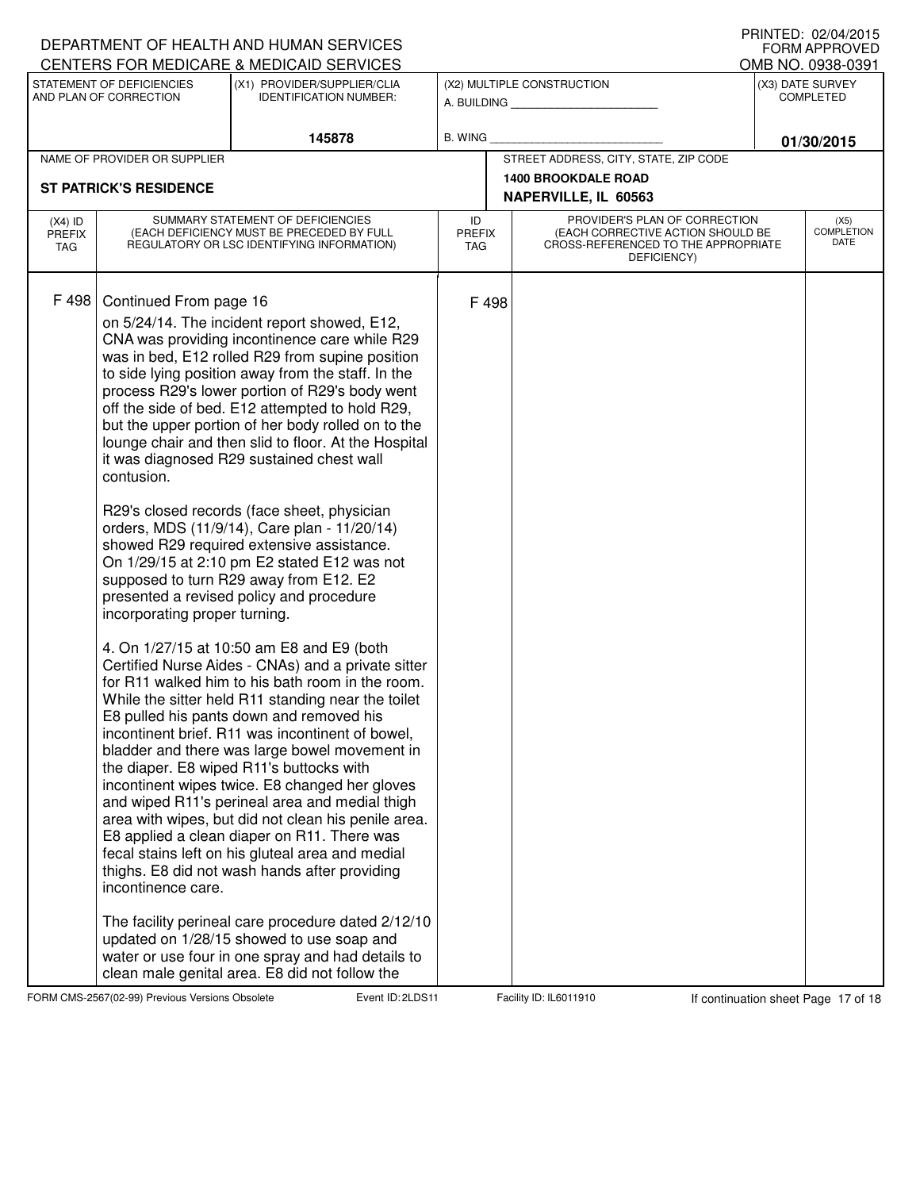| DEPARTMENT OF HEALTH AND HUMAN SERVICES<br>CENTERS FOR MEDICARE & MEDICAID SERVICES                                                                                                                                                                                                                                                                                                                                                                                                                                                                                                                                                                                    |                                                                                                                                                                                                                                                                                                                                                                                                                                                                                                                                                                                                                                                                                                                                                                                                                                                                                                                                                                                                                                                                        |                     |                                                                                                                          | <b>FORM APPROVED</b>                  |
|------------------------------------------------------------------------------------------------------------------------------------------------------------------------------------------------------------------------------------------------------------------------------------------------------------------------------------------------------------------------------------------------------------------------------------------------------------------------------------------------------------------------------------------------------------------------------------------------------------------------------------------------------------------------|------------------------------------------------------------------------------------------------------------------------------------------------------------------------------------------------------------------------------------------------------------------------------------------------------------------------------------------------------------------------------------------------------------------------------------------------------------------------------------------------------------------------------------------------------------------------------------------------------------------------------------------------------------------------------------------------------------------------------------------------------------------------------------------------------------------------------------------------------------------------------------------------------------------------------------------------------------------------------------------------------------------------------------------------------------------------|---------------------|--------------------------------------------------------------------------------------------------------------------------|---------------------------------------|
| STATEMENT OF DEFICIENCIES                                                                                                                                                                                                                                                                                                                                                                                                                                                                                                                                                                                                                                              | (X1) PROVIDER/SUPPLIER/CLIA                                                                                                                                                                                                                                                                                                                                                                                                                                                                                                                                                                                                                                                                                                                                                                                                                                                                                                                                                                                                                                            |                     | (X2) MULTIPLE CONSTRUCTION                                                                                               | OMB NO. 0938-0391<br>(X3) DATE SURVEY |
| AND PLAN OF CORRECTION                                                                                                                                                                                                                                                                                                                                                                                                                                                                                                                                                                                                                                                 | <b>IDENTIFICATION NUMBER:</b>                                                                                                                                                                                                                                                                                                                                                                                                                                                                                                                                                                                                                                                                                                                                                                                                                                                                                                                                                                                                                                          |                     | A. BUILDING <b>A.</b> BUILDING                                                                                           | <b>COMPLETED</b>                      |
|                                                                                                                                                                                                                                                                                                                                                                                                                                                                                                                                                                                                                                                                        | 145878                                                                                                                                                                                                                                                                                                                                                                                                                                                                                                                                                                                                                                                                                                                                                                                                                                                                                                                                                                                                                                                                 | B. WING             |                                                                                                                          | 01/30/2015                            |
| NAME OF PROVIDER OR SUPPLIER                                                                                                                                                                                                                                                                                                                                                                                                                                                                                                                                                                                                                                           |                                                                                                                                                                                                                                                                                                                                                                                                                                                                                                                                                                                                                                                                                                                                                                                                                                                                                                                                                                                                                                                                        |                     | STREET ADDRESS, CITY, STATE, ZIP CODE                                                                                    |                                       |
| <b>ST PATRICK'S RESIDENCE</b>                                                                                                                                                                                                                                                                                                                                                                                                                                                                                                                                                                                                                                          |                                                                                                                                                                                                                                                                                                                                                                                                                                                                                                                                                                                                                                                                                                                                                                                                                                                                                                                                                                                                                                                                        |                     | <b>1400 BROOKDALE ROAD</b>                                                                                               |                                       |
|                                                                                                                                                                                                                                                                                                                                                                                                                                                                                                                                                                                                                                                                        |                                                                                                                                                                                                                                                                                                                                                                                                                                                                                                                                                                                                                                                                                                                                                                                                                                                                                                                                                                                                                                                                        |                     | NAPERVILLE, IL 60563                                                                                                     |                                       |
| $(X4)$ ID<br><b>PREFIX</b><br>TAG                                                                                                                                                                                                                                                                                                                                                                                                                                                                                                                                                                                                                                      | SUMMARY STATEMENT OF DEFICIENCIES<br>(EACH DEFICIENCY MUST BE PRECEDED BY FULL<br>REGULATORY OR LSC IDENTIFYING INFORMATION)                                                                                                                                                                                                                                                                                                                                                                                                                                                                                                                                                                                                                                                                                                                                                                                                                                                                                                                                           | ID<br>PREFIX<br>TAG | PROVIDER'S PLAN OF CORRECTION<br>(EACH CORRECTIVE ACTION SHOULD BE<br>CROSS-REFERENCED TO THE APPROPRIATE<br>DEFICIENCY) | (X5)<br><b>COMPLETION</b><br>DATE     |
| F 498<br>Continued From page 16<br>on 5/24/14. The incident report showed, E12,<br>it was diagnosed R29 sustained chest wall<br>contusion.<br>R29's closed records (face sheet, physician<br>orders, MDS (11/9/14), Care plan - 11/20/14)<br>showed R29 required extensive assistance.<br>supposed to turn R29 away from E12. E2<br>presented a revised policy and procedure<br>incorporating proper turning.<br>4. On 1/27/15 at 10:50 am E8 and E9 (both<br>E8 pulled his pants down and removed his<br>the diaper. E8 wiped R11's buttocks with<br>thighs. E8 did not wash hands after providing<br>incontinence care.<br>updated on 1/28/15 showed to use soap and | CNA was providing incontinence care while R29<br>was in bed, E12 rolled R29 from supine position<br>to side lying position away from the staff. In the<br>process R29's lower portion of R29's body went<br>off the side of bed. E12 attempted to hold R29,<br>but the upper portion of her body rolled on to the<br>lounge chair and then slid to floor. At the Hospital<br>On 1/29/15 at 2:10 pm E2 stated E12 was not<br>Certified Nurse Aides - CNAs) and a private sitter<br>for R11 walked him to his bath room in the room.<br>While the sitter held R11 standing near the toilet<br>incontinent brief. R11 was incontinent of bowel,<br>bladder and there was large bowel movement in<br>incontinent wipes twice. E8 changed her gloves<br>and wiped R11's perineal area and medial thigh<br>area with wipes, but did not clean his penile area.<br>E8 applied a clean diaper on R11. There was<br>fecal stains left on his gluteal area and medial<br>The facility perineal care procedure dated 2/12/10<br>water or use four in one spray and had details to | F 498               |                                                                                                                          |                                       |

FORM CMS-2567(02-99) Previous Versions Obsolete 2001 Event ID: 2LDS 11 Facility ID: IL6011910 If continuation sheet Page 17 of 18

DEPARTMENT OF HEALTH AND HUMAN SERVICES